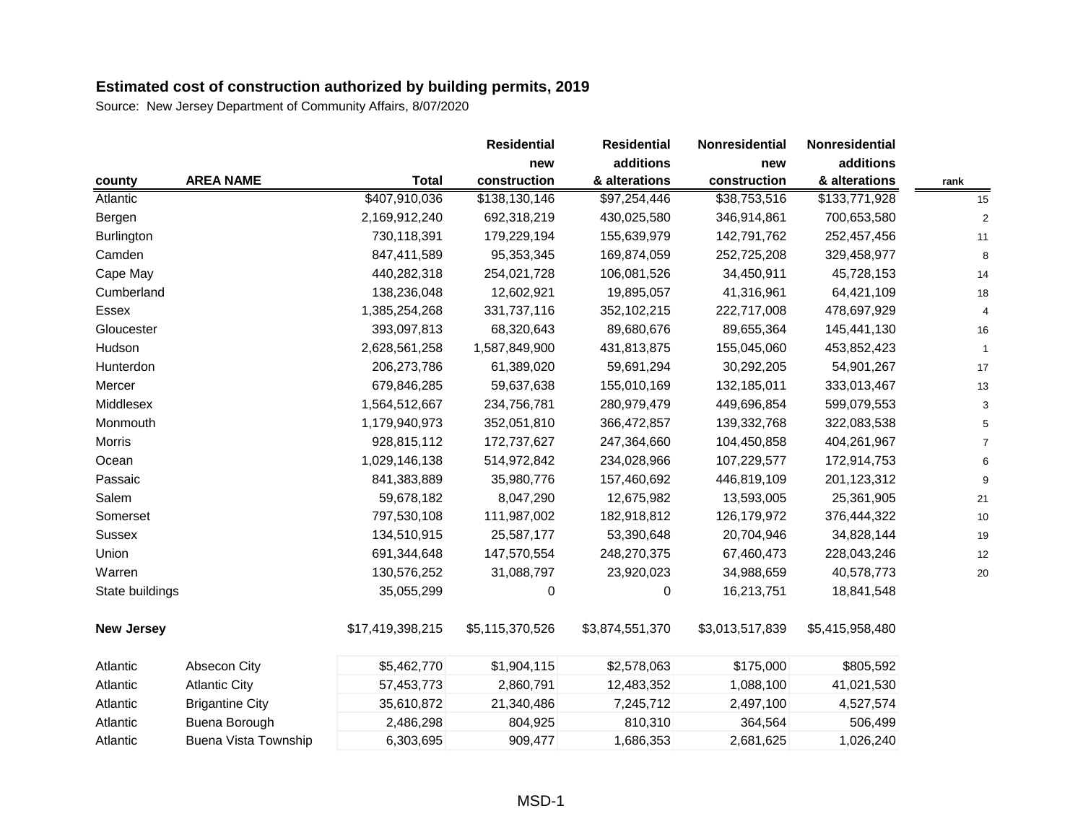|                   |                             |                  | <b>Residential</b> | <b>Residential</b> | Nonresidential  | Nonresidential  |      |
|-------------------|-----------------------------|------------------|--------------------|--------------------|-----------------|-----------------|------|
|                   |                             |                  | new                | additions          | new             | additions       |      |
| county            | <b>AREA NAME</b>            | <b>Total</b>     | construction       | & alterations      | construction    | & alterations   | rank |
| Atlantic          |                             | \$407,910,036    | \$138,130,146      | \$97,254,446       | \$38,753,516    | \$133,771,928   | 15   |
| Bergen            |                             | 2,169,912,240    | 692,318,219        | 430,025,580        | 346,914,861     | 700,653,580     |      |
| Burlington        |                             | 730,118,391      | 179,229,194        | 155,639,979        | 142,791,762     | 252,457,456     | 11   |
| Camden            |                             | 847,411,589      | 95,353,345         | 169,874,059        | 252,725,208     | 329,458,977     | 8    |
| Cape May          |                             | 440,282,318      | 254,021,728        | 106,081,526        | 34,450,911      | 45,728,153      | 14   |
| Cumberland        |                             | 138,236,048      | 12,602,921         | 19,895,057         | 41,316,961      | 64,421,109      | 18   |
| Essex             |                             | 1,385,254,268    | 331,737,116        | 352,102,215        | 222,717,008     | 478,697,929     |      |
| Gloucester        |                             | 393,097,813      | 68,320,643         | 89,680,676         | 89,655,364      | 145,441,130     | 16   |
| Hudson            |                             | 2,628,561,258    | 1,587,849,900      | 431,813,875        | 155,045,060     | 453,852,423     |      |
| Hunterdon         |                             | 206,273,786      | 61,389,020         | 59,691,294         | 30,292,205      | 54,901,267      | 17   |
| Mercer            |                             | 679,846,285      | 59,637,638         | 155,010,169        | 132,185,011     | 333,013,467     | 13   |
| Middlesex         |                             | 1,564,512,667    | 234,756,781        | 280,979,479        | 449,696,854     | 599,079,553     |      |
| Monmouth          |                             | 1,179,940,973    | 352,051,810        | 366,472,857        | 139,332,768     | 322,083,538     |      |
| <b>Morris</b>     |                             | 928,815,112      | 172,737,627        | 247,364,660        | 104,450,858     | 404,261,967     |      |
| Ocean             |                             | 1,029,146,138    | 514,972,842        | 234,028,966        | 107,229,577     | 172,914,753     |      |
| Passaic           |                             | 841,383,889      | 35,980,776         | 157,460,692        | 446,819,109     | 201,123,312     |      |
| Salem             |                             | 59,678,182       | 8,047,290          | 12,675,982         | 13,593,005      | 25,361,905      | 21   |
| Somerset          |                             | 797,530,108      | 111,987,002        | 182,918,812        | 126,179,972     | 376,444,322     | 10   |
| <b>Sussex</b>     |                             | 134,510,915      | 25,587,177         | 53,390,648         | 20,704,946      | 34,828,144      | 19   |
| Union             |                             | 691,344,648      | 147,570,554        | 248,270,375        | 67,460,473      | 228,043,246     | 12   |
| Warren            |                             | 130,576,252      | 31,088,797         | 23,920,023         | 34,988,659      | 40,578,773      | 20   |
| State buildings   |                             | 35,055,299       | 0                  | 0                  | 16,213,751      | 18,841,548      |      |
| <b>New Jersey</b> |                             | \$17,419,398,215 | \$5,115,370,526    | \$3,874,551,370    | \$3,013,517,839 | \$5,415,958,480 |      |
| Atlantic          | Absecon City                | \$5,462,770      | \$1,904,115        | \$2,578,063        | \$175,000       | \$805,592       |      |
| Atlantic          | <b>Atlantic City</b>        | 57,453,773       | 2,860,791          | 12,483,352         | 1,088,100       | 41,021,530      |      |
| Atlantic          | <b>Brigantine City</b>      | 35,610,872       | 21,340,486         | 7,245,712          | 2,497,100       | 4,527,574       |      |
| Atlantic          | Buena Borough               | 2,486,298        | 804,925            | 810,310            | 364,564         | 506,499         |      |
| Atlantic          | <b>Buena Vista Township</b> | 6,303,695        | 909,477            | 1,686,353          | 2,681,625       | 1,026,240       |      |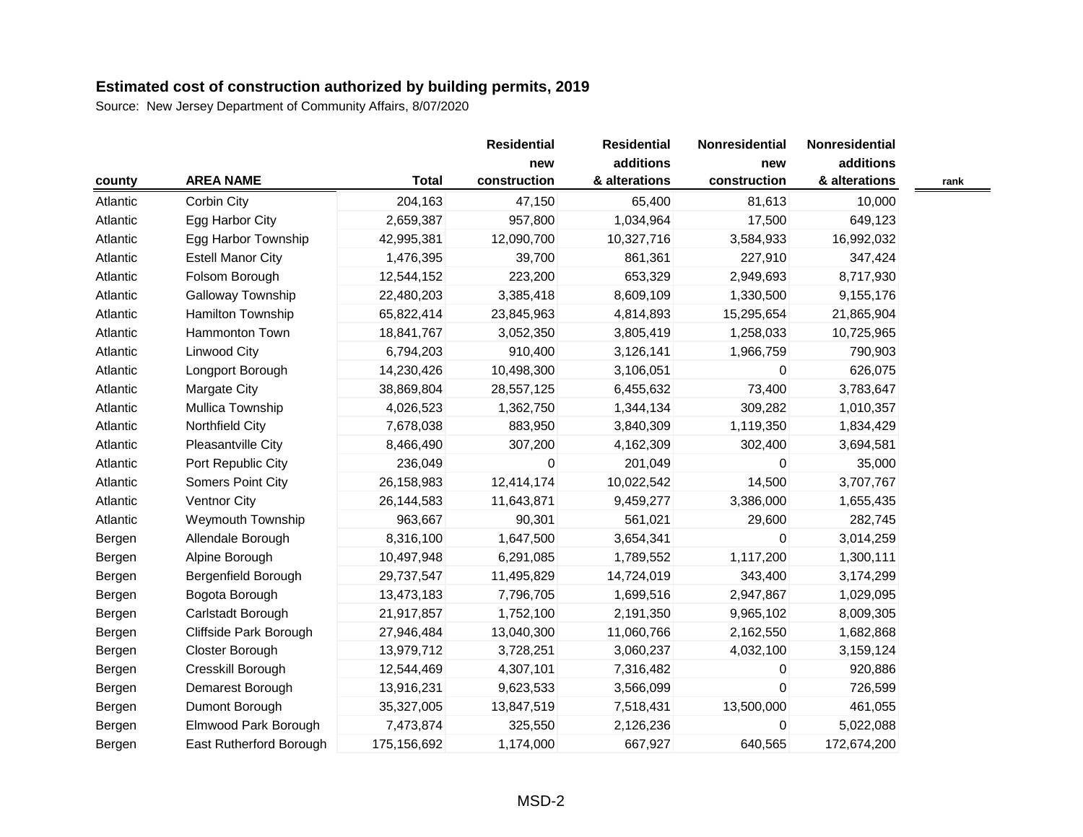Source: New Jersey Department of Community Affairs, 8/07/2020

|          |                          |              | <b>Residential</b> | <b>Residential</b> | Nonresidential | Nonresidential |  |
|----------|--------------------------|--------------|--------------------|--------------------|----------------|----------------|--|
|          |                          |              | new                | additions          | new            | additions      |  |
| county   | <b>AREA NAME</b>         | <b>Total</b> | construction       | & alterations      | construction   | & alterations  |  |
| Atlantic | Corbin City              | 204,163      | 47,150             | 65,400             | 81,613         | 10,000         |  |
| Atlantic | Egg Harbor City          | 2,659,387    | 957,800            | 1,034,964          | 17,500         | 649,123        |  |
| Atlantic | Egg Harbor Township      | 42,995,381   | 12,090,700         | 10,327,716         | 3,584,933      | 16,992,032     |  |
| Atlantic | <b>Estell Manor City</b> | 1,476,395    | 39,700             | 861,361            | 227,910        | 347,424        |  |
| Atlantic | Folsom Borough           | 12,544,152   | 223,200            | 653,329            | 2,949,693      | 8,717,930      |  |
| Atlantic | Galloway Township        | 22,480,203   | 3,385,418          | 8,609,109          | 1,330,500      | 9,155,176      |  |
| Atlantic | Hamilton Township        | 65,822,414   | 23,845,963         | 4,814,893          | 15,295,654     | 21,865,904     |  |
| Atlantic | Hammonton Town           | 18,841,767   | 3,052,350          | 3,805,419          | 1,258,033      | 10,725,965     |  |
| Atlantic | Linwood City             | 6,794,203    | 910,400            | 3,126,141          | 1,966,759      | 790,903        |  |
| Atlantic | Longport Borough         | 14,230,426   | 10,498,300         | 3,106,051          | 0              | 626,075        |  |
| Atlantic | Margate City             | 38,869,804   | 28,557,125         | 6,455,632          | 73,400         | 3,783,647      |  |
| Atlantic | Mullica Township         | 4,026,523    | 1,362,750          | 1,344,134          | 309,282        | 1,010,357      |  |
| Atlantic | Northfield City          | 7,678,038    | 883,950            | 3,840,309          | 1,119,350      | 1,834,429      |  |
| Atlantic | Pleasantville City       | 8,466,490    | 307,200            | 4,162,309          | 302,400        | 3,694,581      |  |
| Atlantic | Port Republic City       | 236,049      | 0                  | 201,049            | 0              | 35,000         |  |
| Atlantic | Somers Point City        | 26,158,983   | 12,414,174         | 10,022,542         | 14,500         | 3,707,767      |  |
| Atlantic | <b>Ventnor City</b>      | 26,144,583   | 11,643,871         | 9,459,277          | 3,386,000      | 1,655,435      |  |
| Atlantic | <b>Weymouth Township</b> | 963,667      | 90,301             | 561,021            | 29,600         | 282,745        |  |
| Bergen   | Allendale Borough        | 8,316,100    | 1,647,500          | 3,654,341          | $\mathbf{0}$   | 3,014,259      |  |
| Bergen   | Alpine Borough           | 10,497,948   | 6,291,085          | 1,789,552          | 1,117,200      | 1,300,111      |  |
| Bergen   | Bergenfield Borough      | 29,737,547   | 11,495,829         | 14,724,019         | 343,400        | 3,174,299      |  |
| Bergen   | Bogota Borough           | 13,473,183   | 7,796,705          | 1,699,516          | 2,947,867      | 1,029,095      |  |
| Bergen   | Carlstadt Borough        | 21,917,857   | 1,752,100          | 2,191,350          | 9,965,102      | 8,009,305      |  |
| Bergen   | Cliffside Park Borough   | 27,946,484   | 13,040,300         | 11,060,766         | 2,162,550      | 1,682,868      |  |
| Bergen   | Closter Borough          | 13,979,712   | 3,728,251          | 3,060,237          | 4,032,100      | 3,159,124      |  |
| Bergen   | Cresskill Borough        | 12,544,469   | 4,307,101          | 7,316,482          | 0              | 920,886        |  |
| Bergen   | Demarest Borough         | 13,916,231   | 9,623,533          | 3,566,099          | 0              | 726,599        |  |
| Bergen   | Dumont Borough           | 35,327,005   | 13,847,519         | 7,518,431          | 13,500,000     | 461,055        |  |
| Bergen   | Elmwood Park Borough     | 7,473,874    | 325,550            | 2,126,236          | 0              | 5,022,088      |  |
| Bergen   | East Rutherford Borough  | 175,156,692  | 1,174,000          | 667,927            | 640,565        | 172,674,200    |  |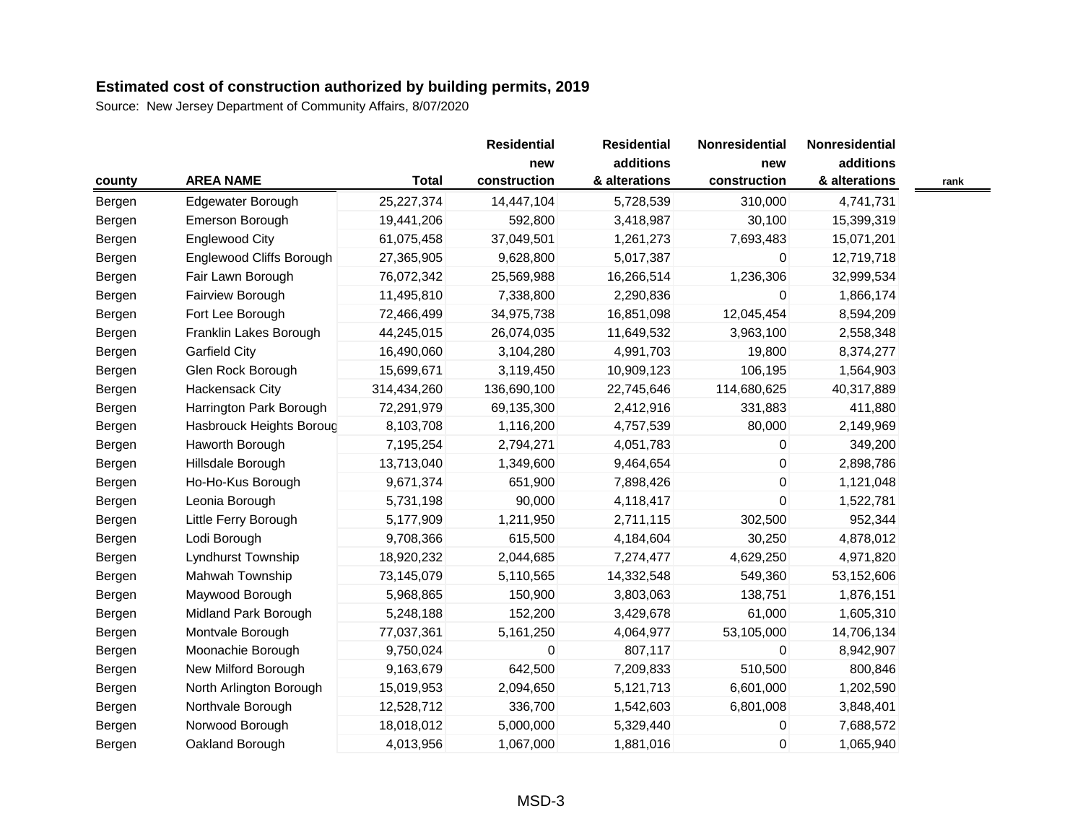|        |                          |              | <b>Residential</b> | <b>Residential</b> | Nonresidential | Nonresidential |
|--------|--------------------------|--------------|--------------------|--------------------|----------------|----------------|
|        |                          |              | new                | additions          | new            | additions      |
| county | <b>AREA NAME</b>         | <b>Total</b> | construction       | & alterations      | construction   | & alterations  |
| Bergen | Edgewater Borough        | 25,227,374   | 14,447,104         | 5,728,539          | 310,000        | 4,741,731      |
| Bergen | Emerson Borough          | 19,441,206   | 592,800            | 3,418,987          | 30,100         | 15,399,319     |
| Bergen | <b>Englewood City</b>    | 61,075,458   | 37,049,501         | 1,261,273          | 7,693,483      | 15,071,201     |
| Bergen | Englewood Cliffs Borough | 27,365,905   | 9,628,800          | 5,017,387          | 0              | 12,719,718     |
| Bergen | Fair Lawn Borough        | 76,072,342   | 25,569,988         | 16,266,514         | 1,236,306      | 32,999,534     |
| Bergen | Fairview Borough         | 11,495,810   | 7,338,800          | 2,290,836          | $\mathbf{0}$   | 1,866,174      |
| Bergen | Fort Lee Borough         | 72,466,499   | 34,975,738         | 16,851,098         | 12,045,454     | 8,594,209      |
| Bergen | Franklin Lakes Borough   | 44,245,015   | 26,074,035         | 11,649,532         | 3,963,100      | 2,558,348      |
| Bergen | Garfield City            | 16,490,060   | 3,104,280          | 4,991,703          | 19,800         | 8,374,277      |
| Bergen | Glen Rock Borough        | 15,699,671   | 3,119,450          | 10,909,123         | 106,195        | 1,564,903      |
| Bergen | Hackensack City          | 314,434,260  | 136,690,100        | 22,745,646         | 114,680,625    | 40,317,889     |
| Bergen | Harrington Park Borough  | 72,291,979   | 69,135,300         | 2,412,916          | 331,883        | 411,880        |
| Bergen | Hasbrouck Heights Boroug | 8,103,708    | 1,116,200          | 4,757,539          | 80,000         | 2,149,969      |
| Bergen | Haworth Borough          | 7,195,254    | 2,794,271          | 4,051,783          | $\mathbf{0}$   | 349,200        |
| Bergen | Hillsdale Borough        | 13,713,040   | 1,349,600          | 9,464,654          | 0              | 2,898,786      |
| Bergen | Ho-Ho-Kus Borough        | 9,671,374    | 651,900            | 7,898,426          | $\mathsf 0$    | 1,121,048      |
| Bergen | Leonia Borough           | 5,731,198    | 90,000             | 4,118,417          | 0              | 1,522,781      |
| Bergen | Little Ferry Borough     | 5,177,909    | 1,211,950          | 2,711,115          | 302,500        | 952,344        |
| Bergen | Lodi Borough             | 9,708,366    | 615,500            | 4,184,604          | 30,250         | 4,878,012      |
| Bergen | Lyndhurst Township       | 18,920,232   | 2,044,685          | 7,274,477          | 4,629,250      | 4,971,820      |
| Bergen | Mahwah Township          | 73,145,079   | 5,110,565          | 14,332,548         | 549,360        | 53,152,606     |
| Bergen | Maywood Borough          | 5,968,865    | 150,900            | 3,803,063          | 138,751        | 1,876,151      |
| Bergen | Midland Park Borough     | 5,248,188    | 152,200            | 3,429,678          | 61,000         | 1,605,310      |
| Bergen | Montvale Borough         | 77,037,361   | 5,161,250          | 4,064,977          | 53,105,000     | 14,706,134     |
| Bergen | Moonachie Borough        | 9,750,024    | 0                  | 807,117            | $\mathbf{0}$   | 8,942,907      |
| Bergen | New Milford Borough      | 9,163,679    | 642,500            | 7,209,833          | 510,500        | 800,846        |
| Bergen | North Arlington Borough  | 15,019,953   | 2,094,650          | 5,121,713          | 6,601,000      | 1,202,590      |
| Bergen | Northvale Borough        | 12,528,712   | 336,700            | 1,542,603          | 6,801,008      | 3,848,401      |
| Bergen | Norwood Borough          | 18,018,012   | 5,000,000          | 5,329,440          | 0              | 7,688,572      |
| Bergen | Oakland Borough          | 4,013,956    | 1,067,000          | 1,881,016          | 0              | 1,065,940      |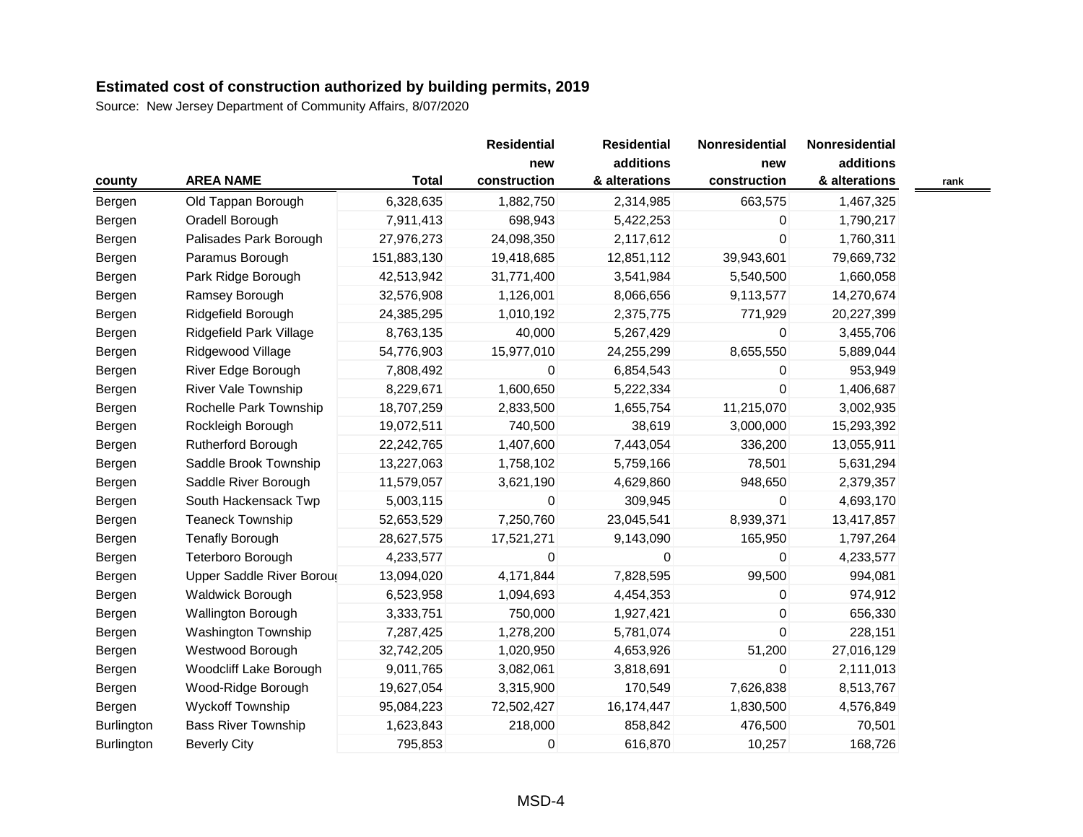Source: New Jersey Department of Community Affairs, 8/07/2020

|                   |                                  |              | <b>Residential</b> | <b>Residential</b> | Nonresidential | Nonresidential |      |
|-------------------|----------------------------------|--------------|--------------------|--------------------|----------------|----------------|------|
|                   |                                  |              | new                | additions          | new            | additions      |      |
| county            | <b>AREA NAME</b>                 | <b>Total</b> | construction       | & alterations      | construction   | & alterations  | rank |
| Bergen            | Old Tappan Borough               | 6,328,635    | 1,882,750          | 2,314,985          | 663,575        | 1,467,325      |      |
| Bergen            | Oradell Borough                  | 7,911,413    | 698,943            | 5,422,253          | 0              | 1,790,217      |      |
| Bergen            | Palisades Park Borough           | 27,976,273   | 24,098,350         | 2,117,612          | $\overline{0}$ | 1,760,311      |      |
| Bergen            | Paramus Borough                  | 151,883,130  | 19,418,685         | 12,851,112         | 39,943,601     | 79,669,732     |      |
| Bergen            | Park Ridge Borough               | 42,513,942   | 31,771,400         | 3,541,984          | 5,540,500      | 1,660,058      |      |
| Bergen            | Ramsey Borough                   | 32,576,908   | 1,126,001          | 8,066,656          | 9,113,577      | 14,270,674     |      |
| Bergen            | Ridgefield Borough               | 24,385,295   | 1,010,192          | 2,375,775          | 771,929        | 20,227,399     |      |
| Bergen            | Ridgefield Park Village          | 8,763,135    | 40,000             | 5,267,429          | 0              | 3,455,706      |      |
| Bergen            | Ridgewood Village                | 54,776,903   | 15,977,010         | 24,255,299         | 8,655,550      | 5,889,044      |      |
| Bergen            | River Edge Borough               | 7,808,492    | 0                  | 6,854,543          | $\mathbf{0}$   | 953,949        |      |
| Bergen            | <b>River Vale Township</b>       | 8,229,671    | 1,600,650          | 5,222,334          | 0              | 1,406,687      |      |
| Bergen            | Rochelle Park Township           | 18,707,259   | 2,833,500          | 1,655,754          | 11,215,070     | 3,002,935      |      |
| Bergen            | Rockleigh Borough                | 19,072,511   | 740,500            | 38,619             | 3,000,000      | 15,293,392     |      |
| Bergen            | Rutherford Borough               | 22,242,765   | 1,407,600          | 7,443,054          | 336,200        | 13,055,911     |      |
| Bergen            | Saddle Brook Township            | 13,227,063   | 1,758,102          | 5,759,166          | 78,501         | 5,631,294      |      |
| Bergen            | Saddle River Borough             | 11,579,057   | 3,621,190          | 4,629,860          | 948,650        | 2,379,357      |      |
| Bergen            | South Hackensack Twp             | 5,003,115    | 0                  | 309,945            | 0              | 4,693,170      |      |
| Bergen            | <b>Teaneck Township</b>          | 52,653,529   | 7,250,760          | 23,045,541         | 8,939,371      | 13,417,857     |      |
| Bergen            | <b>Tenafly Borough</b>           | 28,627,575   | 17,521,271         | 9,143,090          | 165,950        | 1,797,264      |      |
| Bergen            | <b>Teterboro Borough</b>         | 4,233,577    | $\mathbf 0$        | 0                  | $\mathbf{0}$   | 4,233,577      |      |
| Bergen            | <b>Upper Saddle River Boroug</b> | 13,094,020   | 4,171,844          | 7,828,595          | 99,500         | 994,081        |      |
| Bergen            | <b>Waldwick Borough</b>          | 6,523,958    | 1,094,693          | 4,454,353          | 0              | 974,912        |      |
| Bergen            | Wallington Borough               | 3,333,751    | 750,000            | 1,927,421          | 0              | 656,330        |      |
| Bergen            | <b>Washington Township</b>       | 7,287,425    | 1,278,200          | 5,781,074          | 0              | 228,151        |      |
| Bergen            | Westwood Borough                 | 32,742,205   | 1,020,950          | 4,653,926          | 51,200         | 27,016,129     |      |
| Bergen            | Woodcliff Lake Borough           | 9,011,765    | 3,082,061          | 3,818,691          | 0              | 2,111,013      |      |
| Bergen            | Wood-Ridge Borough               | 19,627,054   | 3,315,900          | 170,549            | 7,626,838      | 8,513,767      |      |
| Bergen            | <b>Wyckoff Township</b>          | 95,084,223   | 72,502,427         | 16,174,447         | 1,830,500      | 4,576,849      |      |
| Burlington        | <b>Bass River Township</b>       | 1,623,843    | 218,000            | 858,842            | 476,500        | 70,501         |      |
| <b>Burlington</b> | <b>Beverly City</b>              | 795,853      | 0                  | 616,870            | 10,257         | 168,726        |      |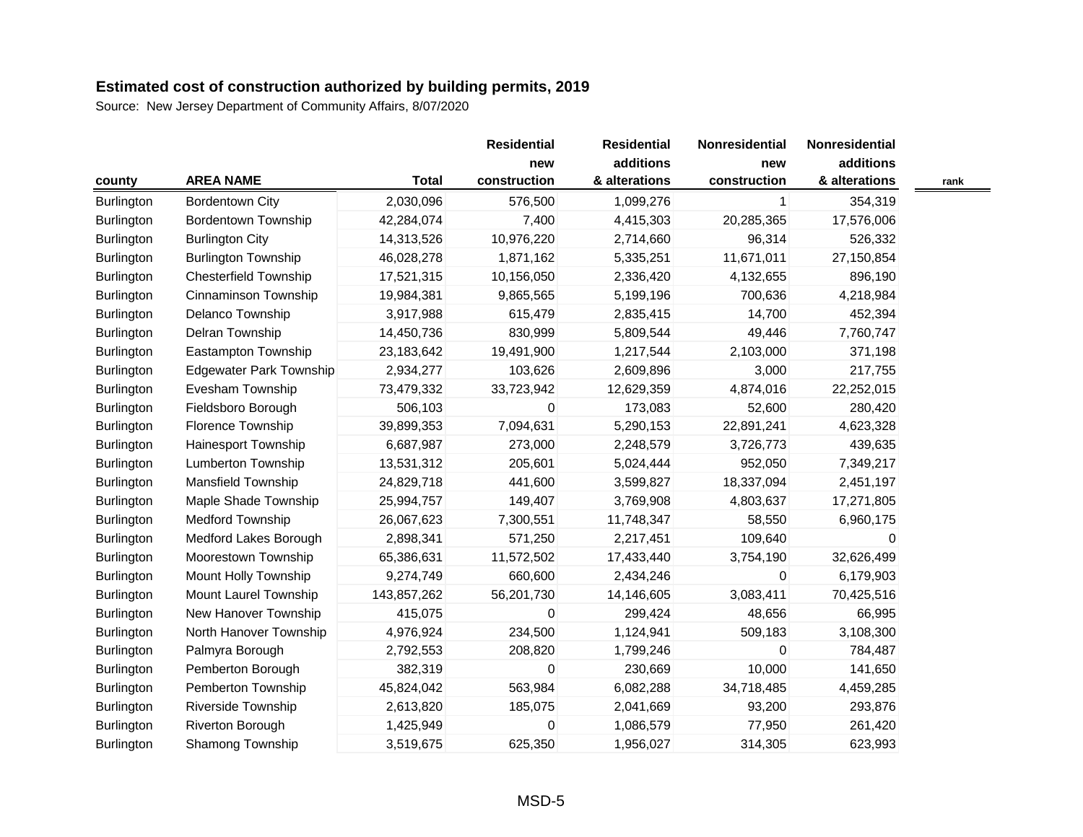|            |                                |              | <b>Residential</b> | <b>Residential</b> | Nonresidential | Nonresidential |      |
|------------|--------------------------------|--------------|--------------------|--------------------|----------------|----------------|------|
|            |                                |              | new                | additions          | new            | additions      |      |
| county     | <b>AREA NAME</b>               | <b>Total</b> | construction       | & alterations      | construction   | & alterations  | rank |
| Burlington | <b>Bordentown City</b>         | 2,030,096    | 576,500            | 1,099,276          | $\mathbf{1}$   | 354,319        |      |
| Burlington | <b>Bordentown Township</b>     | 42,284,074   | 7,400              | 4,415,303          | 20,285,365     | 17,576,006     |      |
| Burlington | <b>Burlington City</b>         | 14,313,526   | 10,976,220         | 2,714,660          | 96,314         | 526,332        |      |
| Burlington | <b>Burlington Township</b>     | 46,028,278   | 1,871,162          | 5,335,251          | 11,671,011     | 27,150,854     |      |
| Burlington | <b>Chesterfield Township</b>   | 17,521,315   | 10,156,050         | 2,336,420          | 4,132,655      | 896,190        |      |
| Burlington | Cinnaminson Township           | 19,984,381   | 9,865,565          | 5,199,196          | 700,636        | 4,218,984      |      |
| Burlington | Delanco Township               | 3,917,988    | 615,479            | 2,835,415          | 14,700         | 452,394        |      |
| Burlington | Delran Township                | 14,450,736   | 830,999            | 5,809,544          | 49,446         | 7,760,747      |      |
| Burlington | Eastampton Township            | 23,183,642   | 19,491,900         | 1,217,544          | 2,103,000      | 371,198        |      |
| Burlington | <b>Edgewater Park Township</b> | 2,934,277    | 103,626            | 2,609,896          | 3,000          | 217,755        |      |
| Burlington | Evesham Township               | 73,479,332   | 33,723,942         | 12,629,359         | 4,874,016      | 22,252,015     |      |
| Burlington | Fieldsboro Borough             | 506,103      | 0                  | 173,083            | 52,600         | 280,420        |      |
| Burlington | Florence Township              | 39,899,353   | 7,094,631          | 5,290,153          | 22,891,241     | 4,623,328      |      |
| Burlington | Hainesport Township            | 6,687,987    | 273,000            | 2,248,579          | 3,726,773      | 439,635        |      |
| Burlington | Lumberton Township             | 13,531,312   | 205,601            | 5,024,444          | 952,050        | 7,349,217      |      |
| Burlington | <b>Mansfield Township</b>      | 24,829,718   | 441,600            | 3,599,827          | 18,337,094     | 2,451,197      |      |
| Burlington | Maple Shade Township           | 25,994,757   | 149,407            | 3,769,908          | 4,803,637      | 17,271,805     |      |
| Burlington | <b>Medford Township</b>        | 26,067,623   | 7,300,551          | 11,748,347         | 58,550         | 6,960,175      |      |
| Burlington | Medford Lakes Borough          | 2,898,341    | 571,250            | 2,217,451          | 109,640        | $\mathbf 0$    |      |
| Burlington | Moorestown Township            | 65,386,631   | 11,572,502         | 17,433,440         | 3,754,190      | 32,626,499     |      |
| Burlington | Mount Holly Township           | 9,274,749    | 660,600            | 2,434,246          | $\mathbf{0}$   | 6,179,903      |      |
| Burlington | Mount Laurel Township          | 143,857,262  | 56,201,730         | 14,146,605         | 3,083,411      | 70,425,516     |      |
| Burlington | New Hanover Township           | 415,075      | 0                  | 299,424            | 48,656         | 66,995         |      |
| Burlington | North Hanover Township         | 4,976,924    | 234,500            | 1,124,941          | 509,183        | 3,108,300      |      |
| Burlington | Palmyra Borough                | 2,792,553    | 208,820            | 1,799,246          | 0              | 784,487        |      |
| Burlington | Pemberton Borough              | 382,319      | 0                  | 230,669            | 10,000         | 141,650        |      |
| Burlington | Pemberton Township             | 45,824,042   | 563,984            | 6,082,288          | 34,718,485     | 4,459,285      |      |
| Burlington | Riverside Township             | 2,613,820    | 185,075            | 2,041,669          | 93,200         | 293,876        |      |
| Burlington | Riverton Borough               | 1,425,949    | 0                  | 1,086,579          | 77,950         | 261,420        |      |
| Burlington | Shamong Township               | 3,519,675    | 625,350            | 1,956,027          | 314,305        | 623,993        |      |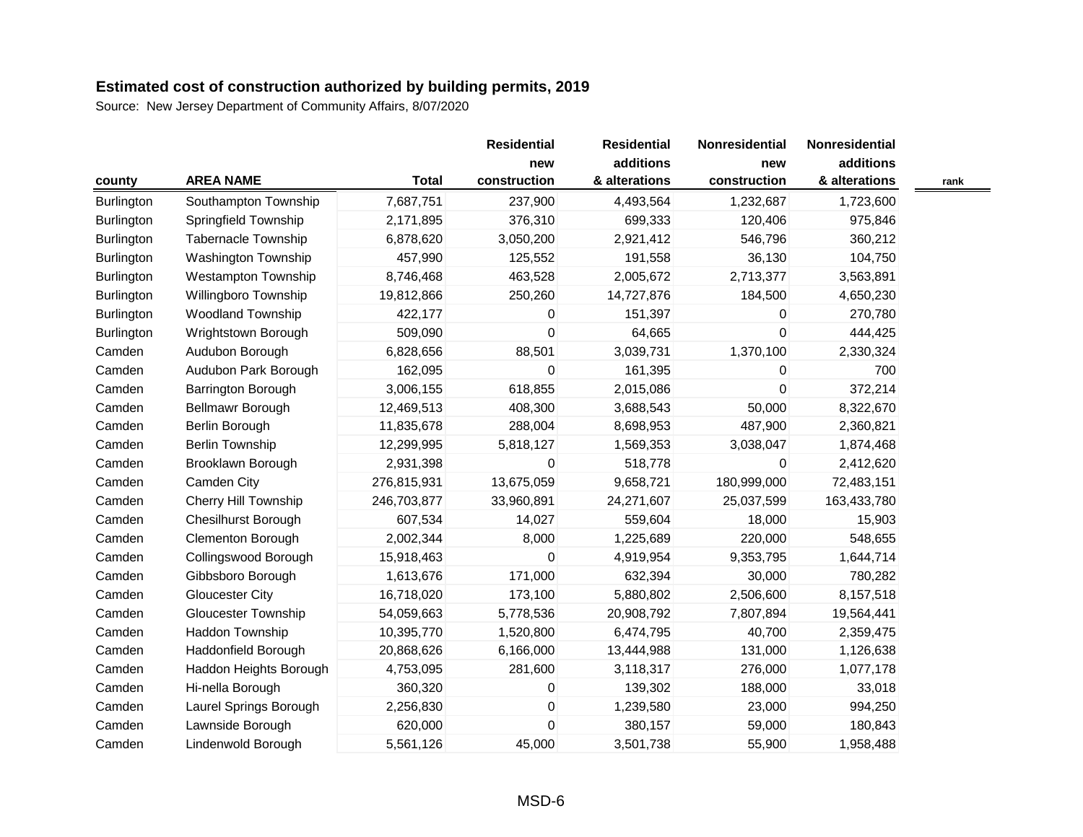| county            | <b>AREA NAME</b>            | <b>Total</b> | <b>Residential</b><br>new<br>construction | <b>Residential</b><br>additions<br>& alterations | Nonresidential<br>new<br>construction | Nonresidential<br>additions<br>& alterations | rank |
|-------------------|-----------------------------|--------------|-------------------------------------------|--------------------------------------------------|---------------------------------------|----------------------------------------------|------|
| Burlington        | Southampton Township        | 7,687,751    | 237,900                                   | 4,493,564                                        | 1,232,687                             | 1,723,600                                    |      |
| <b>Burlington</b> | Springfield Township        | 2,171,895    | 376,310                                   | 699,333                                          | 120,406                               | 975,846                                      |      |
| Burlington        | <b>Tabernacle Township</b>  | 6,878,620    | 3,050,200                                 | 2,921,412                                        | 546,796                               | 360,212                                      |      |
| Burlington        | Washington Township         | 457,990      | 125,552                                   | 191,558                                          | 36,130                                | 104,750                                      |      |
| Burlington        | <b>Westampton Township</b>  | 8,746,468    | 463,528                                   | 2,005,672                                        | 2,713,377                             | 3,563,891                                    |      |
| Burlington        | Willingboro Township        | 19,812,866   | 250,260                                   | 14,727,876                                       | 184,500                               | 4,650,230                                    |      |
| Burlington        | <b>Woodland Township</b>    | 422,177      | 0                                         | 151,397                                          | 0                                     | 270,780                                      |      |
| Burlington        | Wrightstown Borough         | 509,090      | 0                                         | 64,665                                           | 0                                     | 444,425                                      |      |
| Camden            | Audubon Borough             | 6,828,656    | 88,501                                    | 3,039,731                                        | 1,370,100                             | 2,330,324                                    |      |
| Camden            | Audubon Park Borough        | 162,095      | 0                                         | 161,395                                          | 0                                     | 700                                          |      |
| Camden            | Barrington Borough          | 3,006,155    | 618,855                                   | 2,015,086                                        | 0                                     | 372,214                                      |      |
| Camden            | Bellmawr Borough            | 12,469,513   | 408,300                                   | 3,688,543                                        | 50,000                                | 8,322,670                                    |      |
| Camden            | Berlin Borough              | 11,835,678   | 288,004                                   | 8,698,953                                        | 487,900                               | 2,360,821                                    |      |
| Camden            | <b>Berlin Township</b>      | 12,299,995   | 5,818,127                                 | 1,569,353                                        | 3,038,047                             | 1,874,468                                    |      |
| Camden            | Brooklawn Borough           | 2,931,398    | 0                                         | 518,778                                          | 0                                     | 2,412,620                                    |      |
| Camden            | Camden City                 | 276,815,931  | 13,675,059                                | 9,658,721                                        | 180,999,000                           | 72,483,151                                   |      |
| Camden            | <b>Cherry Hill Township</b> | 246,703,877  | 33,960,891                                | 24,271,607                                       | 25,037,599                            | 163,433,780                                  |      |
| Camden            | <b>Chesilhurst Borough</b>  | 607,534      | 14,027                                    | 559,604                                          | 18,000                                | 15,903                                       |      |
| Camden            | <b>Clementon Borough</b>    | 2,002,344    | 8,000                                     | 1,225,689                                        | 220,000                               | 548,655                                      |      |
| Camden            | Collingswood Borough        | 15,918,463   | 0                                         | 4,919,954                                        | 9,353,795                             | 1,644,714                                    |      |
| Camden            | Gibbsboro Borough           | 1,613,676    | 171,000                                   | 632,394                                          | 30,000                                | 780,282                                      |      |
| Camden            | Gloucester City             | 16,718,020   | 173,100                                   | 5,880,802                                        | 2,506,600                             | 8,157,518                                    |      |
| Camden            | <b>Gloucester Township</b>  | 54,059,663   | 5,778,536                                 | 20,908,792                                       | 7,807,894                             | 19,564,441                                   |      |
| Camden            | <b>Haddon Township</b>      | 10,395,770   | 1,520,800                                 | 6,474,795                                        | 40,700                                | 2,359,475                                    |      |
| Camden            | Haddonfield Borough         | 20,868,626   | 6,166,000                                 | 13,444,988                                       | 131,000                               | 1,126,638                                    |      |
| Camden            | Haddon Heights Borough      | 4,753,095    | 281,600                                   | 3,118,317                                        | 276,000                               | 1,077,178                                    |      |
| Camden            | Hi-nella Borough            | 360,320      | 0                                         | 139,302                                          | 188,000                               | 33,018                                       |      |
| Camden            | Laurel Springs Borough      | 2,256,830    | $\mathbf 0$                               | 1,239,580                                        | 23,000                                | 994,250                                      |      |
| Camden            | Lawnside Borough            | 620,000      | $\mathbf 0$                               | 380,157                                          | 59,000                                | 180,843                                      |      |
| Camden            | Lindenwold Borough          | 5,561,126    | 45,000                                    | 3,501,738                                        | 55,900                                | 1,958,488                                    |      |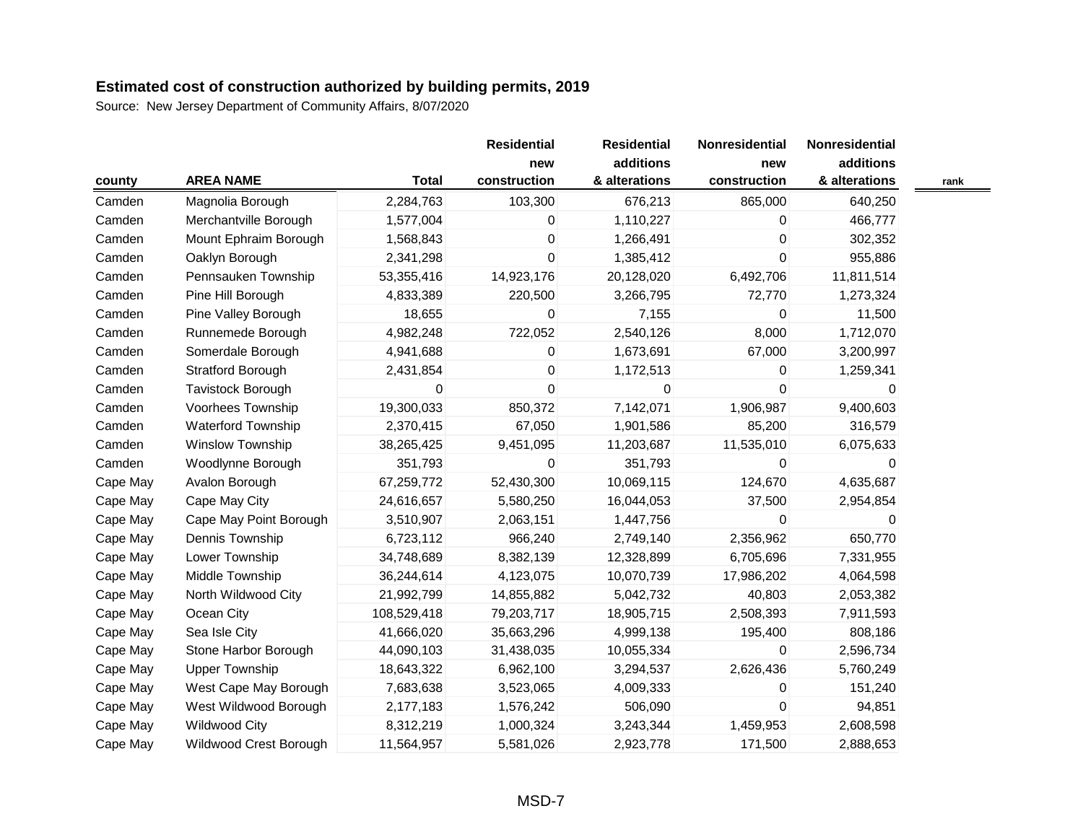|          |                           |              | <b>Residential</b> | <b>Residential</b> | Nonresidential | Nonresidential |      |
|----------|---------------------------|--------------|--------------------|--------------------|----------------|----------------|------|
|          |                           |              | new                | additions          | new            | additions      |      |
| county   | <b>AREA NAME</b>          | <b>Total</b> | construction       | & alterations      | construction   | & alterations  | rank |
| Camden   | Magnolia Borough          | 2,284,763    | 103,300            | 676,213            | 865,000        | 640,250        |      |
| Camden   | Merchantville Borough     | 1,577,004    | 0                  | 1,110,227          | 0              | 466,777        |      |
| Camden   | Mount Ephraim Borough     | 1,568,843    | 0                  | 1,266,491          | 0              | 302,352        |      |
| Camden   | Oaklyn Borough            | 2,341,298    | 0                  | 1,385,412          | 0              | 955,886        |      |
| Camden   | Pennsauken Township       | 53,355,416   | 14,923,176         | 20,128,020         | 6,492,706      | 11,811,514     |      |
| Camden   | Pine Hill Borough         | 4,833,389    | 220,500            | 3,266,795          | 72,770         | 1,273,324      |      |
| Camden   | Pine Valley Borough       | 18,655       | 0                  | 7,155              | 0              | 11,500         |      |
| Camden   | Runnemede Borough         | 4,982,248    | 722,052            | 2,540,126          | 8,000          | 1,712,070      |      |
| Camden   | Somerdale Borough         | 4,941,688    | $\pmb{0}$          | 1,673,691          | 67,000         | 3,200,997      |      |
| Camden   | <b>Stratford Borough</b>  | 2,431,854    | 0                  | 1,172,513          | 0              | 1,259,341      |      |
| Camden   | Tavistock Borough         | 0            | $\mathbf 0$        | 0                  | 0              | 0              |      |
| Camden   | Voorhees Township         | 19,300,033   | 850,372            | 7,142,071          | 1,906,987      | 9,400,603      |      |
| Camden   | <b>Waterford Township</b> | 2,370,415    | 67,050             | 1,901,586          | 85,200         | 316,579        |      |
| Camden   | <b>Winslow Township</b>   | 38,265,425   | 9,451,095          | 11,203,687         | 11,535,010     | 6,075,633      |      |
| Camden   | Woodlynne Borough         | 351,793      | $\mathbf 0$        | 351,793            | 0              | 0              |      |
| Cape May | Avalon Borough            | 67,259,772   | 52,430,300         | 10,069,115         | 124,670        | 4,635,687      |      |
| Cape May | Cape May City             | 24,616,657   | 5,580,250          | 16,044,053         | 37,500         | 2,954,854      |      |
| Cape May | Cape May Point Borough    | 3,510,907    | 2,063,151          | 1,447,756          | 0              | 0              |      |
| Cape May | Dennis Township           | 6,723,112    | 966,240            | 2,749,140          | 2,356,962      | 650,770        |      |
| Cape May | Lower Township            | 34,748,689   | 8,382,139          | 12,328,899         | 6,705,696      | 7,331,955      |      |
| Cape May | Middle Township           | 36,244,614   | 4,123,075          | 10,070,739         | 17,986,202     | 4,064,598      |      |
| Cape May | North Wildwood City       | 21,992,799   | 14,855,882         | 5,042,732          | 40,803         | 2,053,382      |      |
| Cape May | Ocean City                | 108,529,418  | 79,203,717         | 18,905,715         | 2,508,393      | 7,911,593      |      |
| Cape May | Sea Isle City             | 41,666,020   | 35,663,296         | 4,999,138          | 195,400        | 808,186        |      |
| Cape May | Stone Harbor Borough      | 44,090,103   | 31,438,035         | 10,055,334         | $\mathbf{0}$   | 2,596,734      |      |
| Cape May | <b>Upper Township</b>     | 18,643,322   | 6,962,100          | 3,294,537          | 2,626,436      | 5,760,249      |      |
| Cape May | West Cape May Borough     | 7,683,638    | 3,523,065          | 4,009,333          | 0              | 151,240        |      |
| Cape May | West Wildwood Borough     | 2,177,183    | 1,576,242          | 506,090            | 0              | 94,851         |      |
| Cape May | <b>Wildwood City</b>      | 8,312,219    | 1,000,324          | 3,243,344          | 1,459,953      | 2,608,598      |      |
| Cape May | Wildwood Crest Borough    | 11,564,957   | 5,581,026          | 2,923,778          | 171,500        | 2,888,653      |      |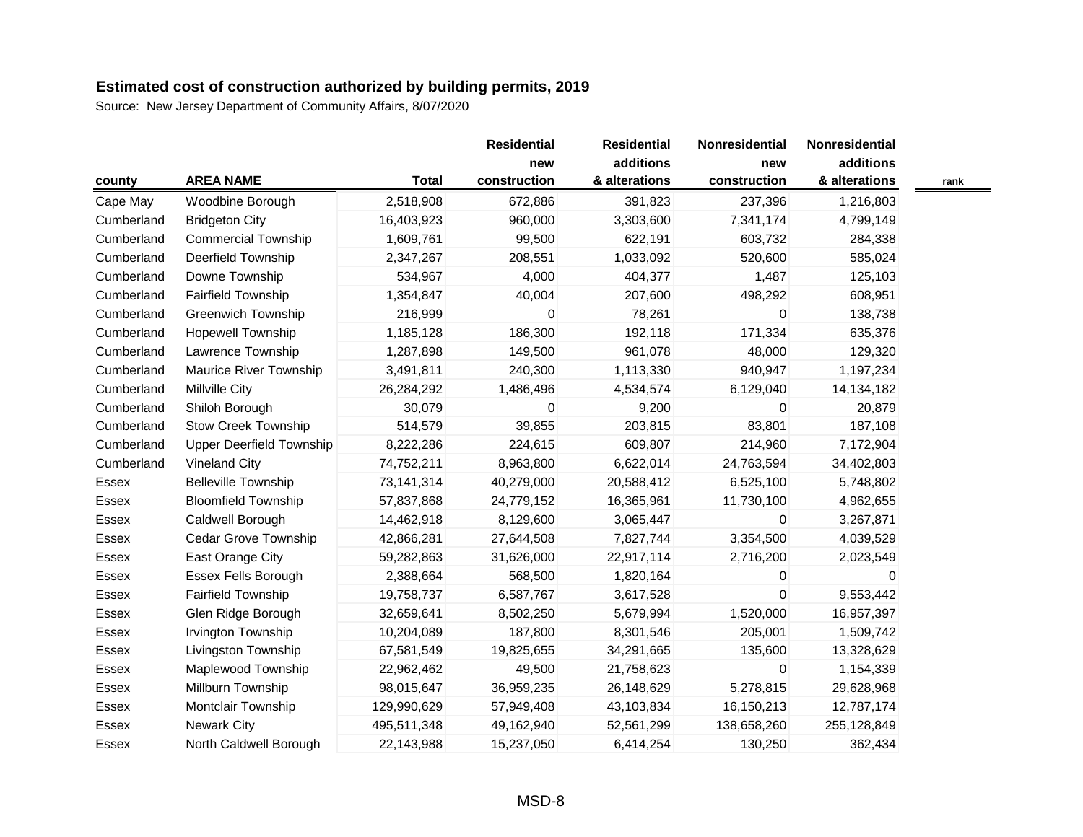Source: New Jersey Department of Community Affairs, 8/07/2020

|            |                                 |              | <b>Residential</b> | <b>Residential</b> | Nonresidential | Nonresidential |      |
|------------|---------------------------------|--------------|--------------------|--------------------|----------------|----------------|------|
|            |                                 |              | new                | additions          | new            | additions      |      |
| county     | <b>AREA NAME</b>                | <b>Total</b> | construction       | & alterations      | construction   | & alterations  | rank |
| Cape May   | Woodbine Borough                | 2,518,908    | 672,886            | 391,823            | 237,396        | 1,216,803      |      |
| Cumberland | <b>Bridgeton City</b>           | 16,403,923   | 960,000            | 3,303,600          | 7,341,174      | 4,799,149      |      |
| Cumberland | <b>Commercial Township</b>      | 1,609,761    | 99,500             | 622,191            | 603,732        | 284,338        |      |
| Cumberland | Deerfield Township              | 2,347,267    | 208,551            | 1,033,092          | 520,600        | 585,024        |      |
| Cumberland | Downe Township                  | 534,967      | 4,000              | 404,377            | 1,487          | 125,103        |      |
| Cumberland | <b>Fairfield Township</b>       | 1,354,847    | 40,004             | 207,600            | 498,292        | 608,951        |      |
| Cumberland | <b>Greenwich Township</b>       | 216,999      | $\Omega$           | 78,261             | $\Omega$       | 138,738        |      |
| Cumberland | <b>Hopewell Township</b>        | 1,185,128    | 186,300            | 192,118            | 171,334        | 635,376        |      |
| Cumberland | Lawrence Township               | 1,287,898    | 149,500            | 961,078            | 48,000         | 129,320        |      |
| Cumberland | Maurice River Township          | 3,491,811    | 240,300            | 1,113,330          | 940,947        | 1,197,234      |      |
| Cumberland | <b>Millville City</b>           | 26,284,292   | 1,486,496          | 4,534,574          | 6,129,040      | 14,134,182     |      |
| Cumberland | Shiloh Borough                  | 30,079       | $\mathbf 0$        | 9,200              | 0              | 20,879         |      |
| Cumberland | <b>Stow Creek Township</b>      | 514,579      | 39,855             | 203,815            | 83,801         | 187,108        |      |
| Cumberland | <b>Upper Deerfield Township</b> | 8,222,286    | 224,615            | 609,807            | 214,960        | 7,172,904      |      |
| Cumberland | <b>Vineland City</b>            | 74,752,211   | 8,963,800          | 6,622,014          | 24,763,594     | 34,402,803     |      |
| Essex      | <b>Belleville Township</b>      | 73,141,314   | 40,279,000         | 20,588,412         | 6,525,100      | 5,748,802      |      |
| Essex      | <b>Bloomfield Township</b>      | 57,837,868   | 24,779,152         | 16,365,961         | 11,730,100     | 4,962,655      |      |
| Essex      | Caldwell Borough                | 14,462,918   | 8,129,600          | 3,065,447          | $\mathbf{0}$   | 3,267,871      |      |
| Essex      | <b>Cedar Grove Township</b>     | 42,866,281   | 27,644,508         | 7,827,744          | 3,354,500      | 4,039,529      |      |
| Essex      | East Orange City                | 59,282,863   | 31,626,000         | 22,917,114         | 2,716,200      | 2,023,549      |      |
| Essex      | Essex Fells Borough             | 2,388,664    | 568,500            | 1,820,164          | 0              | 0              |      |
| Essex      | <b>Fairfield Township</b>       | 19,758,737   | 6,587,767          | 3,617,528          | 0              | 9,553,442      |      |
| Essex      | Glen Ridge Borough              | 32,659,641   | 8,502,250          | 5,679,994          | 1,520,000      | 16,957,397     |      |
| Essex      | Irvington Township              | 10,204,089   | 187,800            | 8,301,546          | 205,001        | 1,509,742      |      |
| Essex      | Livingston Township             | 67,581,549   | 19,825,655         | 34,291,665         | 135,600        | 13,328,629     |      |
| Essex      | Maplewood Township              | 22,962,462   | 49,500             | 21,758,623         | 0              | 1,154,339      |      |
| Essex      | Millburn Township               | 98,015,647   | 36,959,235         | 26,148,629         | 5,278,815      | 29,628,968     |      |
| Essex      | Montclair Township              | 129,990,629  | 57,949,408         | 43,103,834         | 16,150,213     | 12,787,174     |      |
| Essex      | <b>Newark City</b>              | 495,511,348  | 49,162,940         | 52,561,299         | 138,658,260    | 255,128,849    |      |
| Essex      | North Caldwell Borough          | 22,143,988   | 15,237,050         | 6,414,254          | 130,250        | 362,434        |      |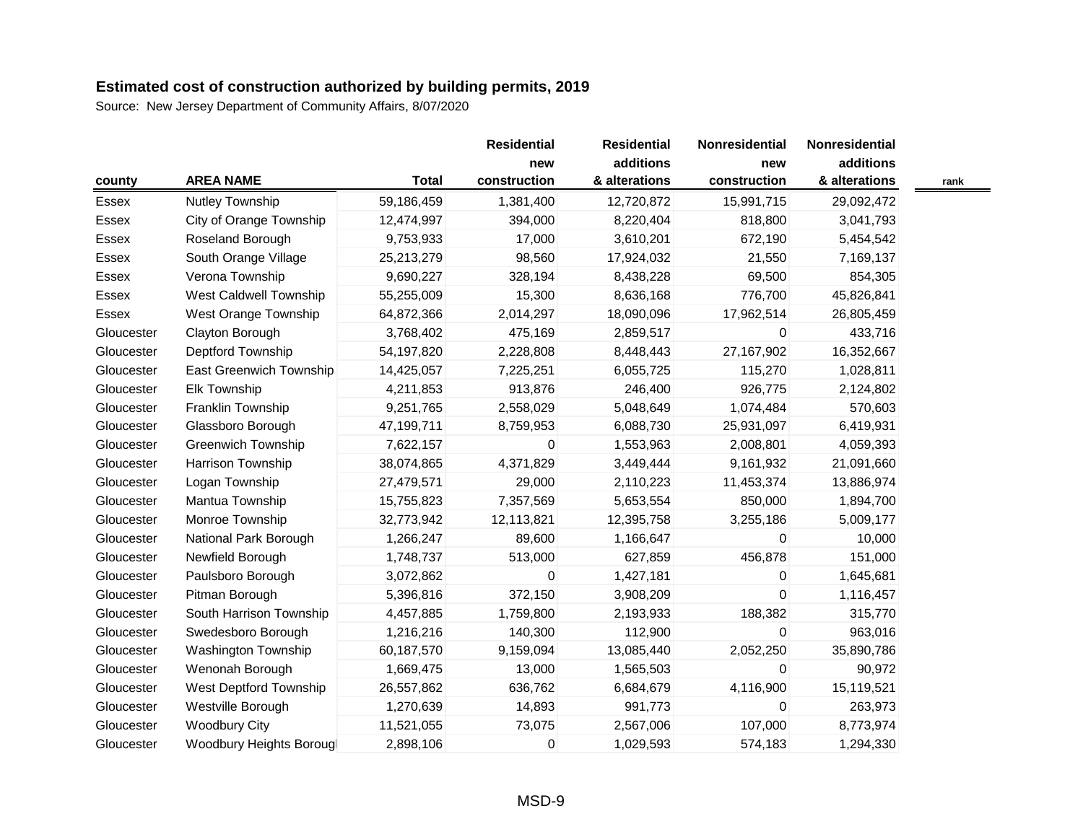Source: New Jersey Department of Community Affairs, 8/07/2020

|            |                               |              | <b>Residential</b><br>new | <b>Residential</b><br>additions | Nonresidential<br>new | Nonresidential<br>additions |      |
|------------|-------------------------------|--------------|---------------------------|---------------------------------|-----------------------|-----------------------------|------|
| county     | <b>AREA NAME</b>              | <b>Total</b> | construction              | & alterations                   | construction          | & alterations               | rank |
| Essex      | Nutley Township               | 59,186,459   | 1,381,400                 | 12,720,872                      | 15,991,715            | 29,092,472                  |      |
| Essex      | City of Orange Township       | 12,474,997   | 394,000                   | 8,220,404                       | 818,800               | 3,041,793                   |      |
| Essex      | Roseland Borough              | 9,753,933    | 17,000                    | 3,610,201                       | 672,190               | 5,454,542                   |      |
| Essex      | South Orange Village          | 25,213,279   | 98,560                    | 17,924,032                      | 21,550                | 7,169,137                   |      |
| Essex      | Verona Township               | 9,690,227    | 328,194                   | 8,438,228                       | 69,500                | 854,305                     |      |
| Essex      | <b>West Caldwell Township</b> | 55,255,009   | 15,300                    | 8,636,168                       | 776,700               | 45,826,841                  |      |
| Essex      | West Orange Township          | 64,872,366   | 2,014,297                 | 18,090,096                      | 17,962,514            | 26,805,459                  |      |
| Gloucester | Clayton Borough               | 3,768,402    | 475,169                   | 2,859,517                       | 0                     | 433,716                     |      |
| Gloucester | Deptford Township             | 54,197,820   | 2,228,808                 | 8,448,443                       | 27, 167, 902          | 16,352,667                  |      |
| Gloucester | East Greenwich Township       | 14,425,057   | 7,225,251                 | 6,055,725                       | 115,270               | 1,028,811                   |      |
| Gloucester | Elk Township                  | 4,211,853    | 913,876                   | 246,400                         | 926,775               | 2,124,802                   |      |
| Gloucester | Franklin Township             | 9,251,765    | 2,558,029                 | 5,048,649                       | 1,074,484             | 570,603                     |      |
| Gloucester | Glassboro Borough             | 47,199,711   | 8,759,953                 | 6,088,730                       | 25,931,097            | 6,419,931                   |      |
| Gloucester | Greenwich Township            | 7,622,157    | 0                         | 1,553,963                       | 2,008,801             | 4,059,393                   |      |
| Gloucester | Harrison Township             | 38,074,865   | 4,371,829                 | 3,449,444                       | 9,161,932             | 21,091,660                  |      |
| Gloucester | Logan Township                | 27,479,571   | 29,000                    | 2,110,223                       | 11,453,374            | 13,886,974                  |      |
| Gloucester | Mantua Township               | 15,755,823   | 7,357,569                 | 5,653,554                       | 850,000               | 1,894,700                   |      |
| Gloucester | Monroe Township               | 32,773,942   | 12,113,821                | 12,395,758                      | 3,255,186             | 5,009,177                   |      |
| Gloucester | National Park Borough         | 1,266,247    | 89,600                    | 1,166,647                       | $\overline{0}$        | 10,000                      |      |
| Gloucester | Newfield Borough              | 1,748,737    | 513,000                   | 627,859                         | 456,878               | 151,000                     |      |
| Gloucester | Paulsboro Borough             | 3,072,862    | 0                         | 1,427,181                       | $\mathbf{0}$          | 1,645,681                   |      |
| Gloucester | Pitman Borough                | 5,396,816    | 372,150                   | 3,908,209                       | 0                     | 1,116,457                   |      |
| Gloucester | South Harrison Township       | 4,457,885    | 1,759,800                 | 2,193,933                       | 188,382               | 315,770                     |      |
| Gloucester | Swedesboro Borough            | 1,216,216    | 140,300                   | 112,900                         | 0                     | 963,016                     |      |
| Gloucester | <b>Washington Township</b>    | 60,187,570   | 9,159,094                 | 13,085,440                      | 2,052,250             | 35,890,786                  |      |
| Gloucester | Wenonah Borough               | 1,669,475    | 13,000                    | 1,565,503                       | $\Omega$              | 90,972                      |      |
| Gloucester | West Deptford Township        | 26,557,862   | 636,762                   | 6,684,679                       | 4,116,900             | 15,119,521                  |      |
| Gloucester | Westville Borough             | 1,270,639    | 14,893                    | 991,773                         | $\mathbf{0}$          | 263,973                     |      |
| Gloucester | <b>Woodbury City</b>          | 11,521,055   | 73,075                    | 2,567,006                       | 107,000               | 8,773,974                   |      |
| Gloucester | Woodbury Heights Borougl      | 2,898,106    | 0                         | 1,029,593                       | 574,183               | 1,294,330                   |      |

—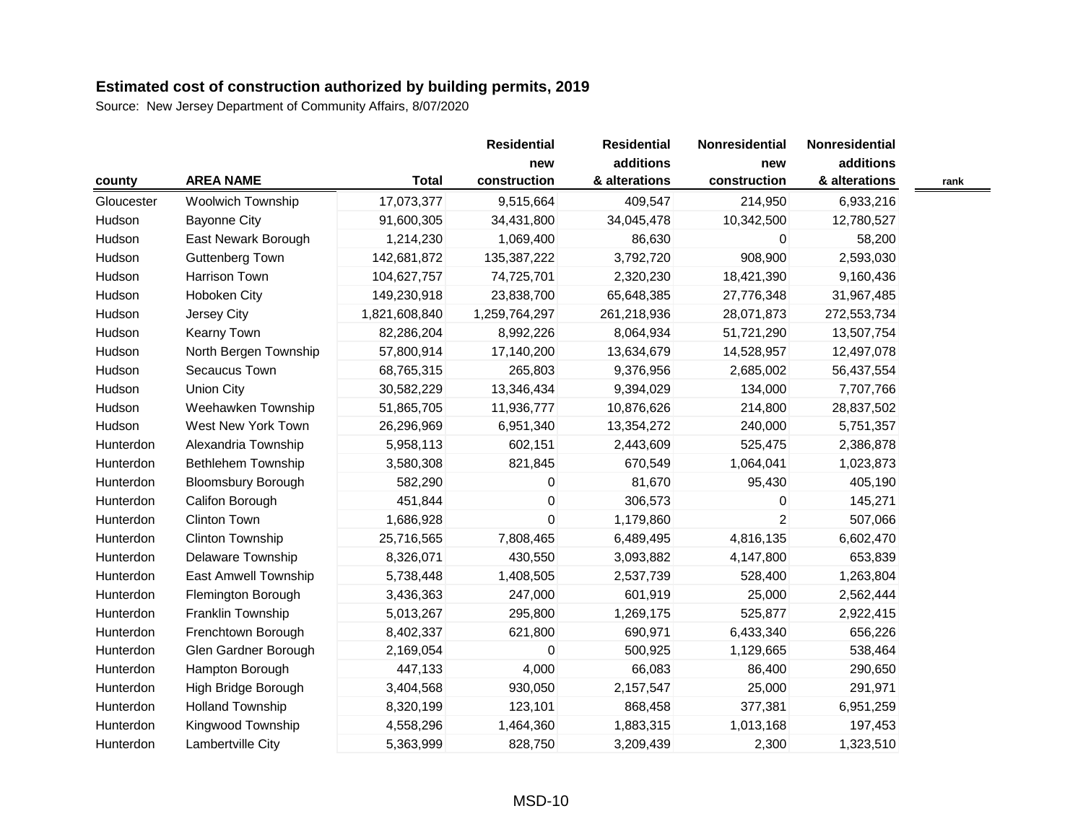Source: New Jersey Department of Community Affairs, 8/07/2020

|            |                           |               | <b>Residential</b> | <b>Residential</b> | Nonresidential | Nonresidential |      |
|------------|---------------------------|---------------|--------------------|--------------------|----------------|----------------|------|
|            |                           |               | new                | additions          | new            | additions      |      |
| county     | <b>AREA NAME</b>          | <b>Total</b>  | construction       | & alterations      | construction   | & alterations  | rank |
| Gloucester | Woolwich Township         | 17,073,377    | 9,515,664          | 409,547            | 214,950        | 6,933,216      |      |
| Hudson     | <b>Bayonne City</b>       | 91,600,305    | 34,431,800         | 34,045,478         | 10,342,500     | 12,780,527     |      |
| Hudson     | East Newark Borough       | 1,214,230     | 1,069,400          | 86,630             | 0              | 58,200         |      |
| Hudson     | Guttenberg Town           | 142,681,872   | 135,387,222        | 3,792,720          | 908,900        | 2,593,030      |      |
| Hudson     | Harrison Town             | 104,627,757   | 74,725,701         | 2,320,230          | 18,421,390     | 9,160,436      |      |
| Hudson     | Hoboken City              | 149,230,918   | 23,838,700         | 65,648,385         | 27,776,348     | 31,967,485     |      |
| Hudson     | Jersey City               | 1,821,608,840 | 1,259,764,297      | 261,218,936        | 28,071,873     | 272,553,734    |      |
| Hudson     | Kearny Town               | 82,286,204    | 8,992,226          | 8,064,934          | 51,721,290     | 13,507,754     |      |
| Hudson     | North Bergen Township     | 57,800,914    | 17,140,200         | 13,634,679         | 14,528,957     | 12,497,078     |      |
| Hudson     | Secaucus Town             | 68,765,315    | 265,803            | 9,376,956          | 2,685,002      | 56,437,554     |      |
| Hudson     | <b>Union City</b>         | 30,582,229    | 13,346,434         | 9,394,029          | 134,000        | 7,707,766      |      |
| Hudson     | Weehawken Township        | 51,865,705    | 11,936,777         | 10,876,626         | 214,800        | 28,837,502     |      |
| Hudson     | West New York Town        | 26,296,969    | 6,951,340          | 13,354,272         | 240,000        | 5,751,357      |      |
| Hunterdon  | Alexandria Township       | 5,958,113     | 602,151            | 2,443,609          | 525,475        | 2,386,878      |      |
| Hunterdon  | <b>Bethlehem Township</b> | 3,580,308     | 821,845            | 670,549            | 1,064,041      | 1,023,873      |      |
| Hunterdon  | <b>Bloomsbury Borough</b> | 582,290       | 0                  | 81,670             | 95,430         | 405,190        |      |
| Hunterdon  | Califon Borough           | 451,844       | $\pmb{0}$          | 306,573            | 0              | 145,271        |      |
| Hunterdon  | <b>Clinton Town</b>       | 1,686,928     | $\mathbf 0$        | 1,179,860          | $\overline{2}$ | 507,066        |      |
| Hunterdon  | Clinton Township          | 25,716,565    | 7,808,465          | 6,489,495          | 4,816,135      | 6,602,470      |      |
| Hunterdon  | Delaware Township         | 8,326,071     | 430,550            | 3,093,882          | 4,147,800      | 653,839        |      |
| Hunterdon  | East Amwell Township      | 5,738,448     | 1,408,505          | 2,537,739          | 528,400        | 1,263,804      |      |
| Hunterdon  | Flemington Borough        | 3,436,363     | 247,000            | 601,919            | 25,000         | 2,562,444      |      |
| Hunterdon  | Franklin Township         | 5,013,267     | 295,800            | 1,269,175          | 525,877        | 2,922,415      |      |
| Hunterdon  | Frenchtown Borough        | 8,402,337     | 621,800            | 690,971            | 6,433,340      | 656,226        |      |
| Hunterdon  | Glen Gardner Borough      | 2,169,054     | $\mathbf 0$        | 500,925            | 1,129,665      | 538,464        |      |
| Hunterdon  | Hampton Borough           | 447,133       | 4,000              | 66,083             | 86,400         | 290,650        |      |
| Hunterdon  | High Bridge Borough       | 3,404,568     | 930,050            | 2,157,547          | 25,000         | 291,971        |      |
| Hunterdon  | <b>Holland Township</b>   | 8,320,199     | 123,101            | 868,458            | 377,381        | 6,951,259      |      |
| Hunterdon  | Kingwood Township         | 4,558,296     | 1,464,360          | 1,883,315          | 1,013,168      | 197,453        |      |
| Hunterdon  | Lambertville City         | 5,363,999     | 828,750            | 3,209,439          | 2,300          | 1,323,510      |      |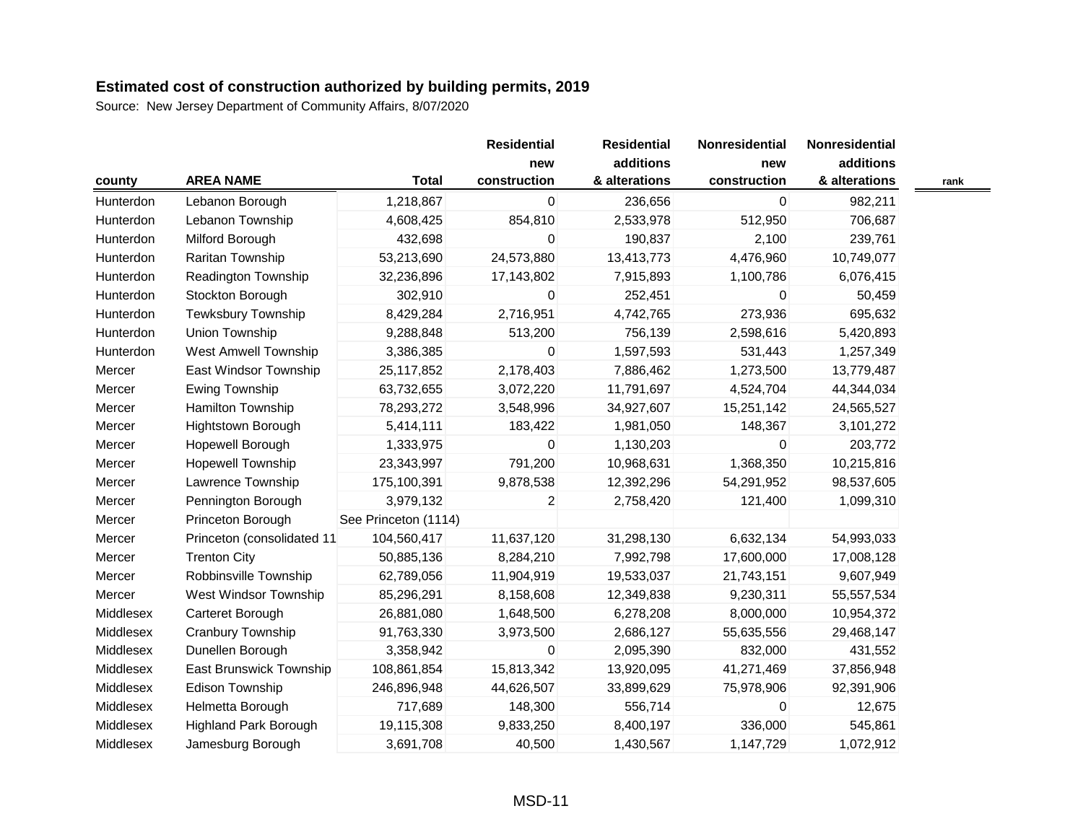|           |                              |                      | <b>Residential</b> | <b>Residential</b> | Nonresidential | Nonresidential |      |
|-----------|------------------------------|----------------------|--------------------|--------------------|----------------|----------------|------|
|           |                              |                      | new                | additions          | new            | additions      |      |
| county    | <b>AREA NAME</b>             | <b>Total</b>         | construction       | & alterations      | construction   | & alterations  | rank |
| Hunterdon | Lebanon Borough              | 1,218,867            | $\mathbf{0}$       | 236,656            | 0              | 982,211        |      |
| Hunterdon | Lebanon Township             | 4,608,425            | 854,810            | 2,533,978          | 512,950        | 706,687        |      |
| Hunterdon | Milford Borough              | 432,698              | 0                  | 190,837            | 2,100          | 239,761        |      |
| Hunterdon | Raritan Township             | 53,213,690           | 24,573,880         | 13,413,773         | 4,476,960      | 10,749,077     |      |
| Hunterdon | Readington Township          | 32,236,896           | 17,143,802         | 7,915,893          | 1,100,786      | 6,076,415      |      |
| Hunterdon | Stockton Borough             | 302,910              | 0                  | 252,451            | 0              | 50,459         |      |
| Hunterdon | <b>Tewksbury Township</b>    | 8,429,284            | 2,716,951          | 4,742,765          | 273,936        | 695,632        |      |
| Hunterdon | Union Township               | 9,288,848            | 513,200            | 756,139            | 2,598,616      | 5,420,893      |      |
| Hunterdon | <b>West Amwell Township</b>  | 3,386,385            | 0                  | 1,597,593          | 531,443        | 1,257,349      |      |
| Mercer    | East Windsor Township        | 25,117,852           | 2,178,403          | 7,886,462          | 1,273,500      | 13,779,487     |      |
| Mercer    | Ewing Township               | 63,732,655           | 3,072,220          | 11,791,697         | 4,524,704      | 44,344,034     |      |
| Mercer    | Hamilton Township            | 78,293,272           | 3,548,996          | 34,927,607         | 15,251,142     | 24,565,527     |      |
| Mercer    | <b>Hightstown Borough</b>    | 5,414,111            | 183,422            | 1,981,050          | 148,367        | 3,101,272      |      |
| Mercer    | Hopewell Borough             | 1,333,975            | 0                  | 1,130,203          | 0              | 203,772        |      |
| Mercer    | <b>Hopewell Township</b>     | 23,343,997           | 791,200            | 10,968,631         | 1,368,350      | 10,215,816     |      |
| Mercer    | Lawrence Township            | 175,100,391          | 9,878,538          | 12,392,296         | 54,291,952     | 98,537,605     |      |
| Mercer    | Pennington Borough           | 3,979,132            | $\overline{c}$     | 2,758,420          | 121,400        | 1,099,310      |      |
| Mercer    | Princeton Borough            | See Princeton (1114) |                    |                    |                |                |      |
| Mercer    | Princeton (consolidated 11   | 104,560,417          | 11,637,120         | 31,298,130         | 6,632,134      | 54,993,033     |      |
| Mercer    | <b>Trenton City</b>          | 50,885,136           | 8,284,210          | 7,992,798          | 17,600,000     | 17,008,128     |      |
| Mercer    | Robbinsville Township        | 62,789,056           | 11,904,919         | 19,533,037         | 21,743,151     | 9,607,949      |      |
| Mercer    | West Windsor Township        | 85,296,291           | 8,158,608          | 12,349,838         | 9,230,311      | 55,557,534     |      |
| Middlesex | Carteret Borough             | 26,881,080           | 1,648,500          | 6,278,208          | 8,000,000      | 10,954,372     |      |
| Middlesex | Cranbury Township            | 91,763,330           | 3,973,500          | 2,686,127          | 55,635,556     | 29,468,147     |      |
| Middlesex | Dunellen Borough             | 3,358,942            | 0                  | 2,095,390          | 832,000        | 431,552        |      |
| Middlesex | East Brunswick Township      | 108,861,854          | 15,813,342         | 13,920,095         | 41,271,469     | 37,856,948     |      |
| Middlesex | Edison Township              | 246,896,948          | 44,626,507         | 33,899,629         | 75,978,906     | 92,391,906     |      |
| Middlesex | Helmetta Borough             | 717,689              | 148,300            | 556,714            | 0              | 12,675         |      |
| Middlesex | <b>Highland Park Borough</b> | 19,115,308           | 9,833,250          | 8,400,197          | 336,000        | 545,861        |      |
| Middlesex | Jamesburg Borough            | 3,691,708            | 40,500             | 1,430,567          | 1,147,729      | 1,072,912      |      |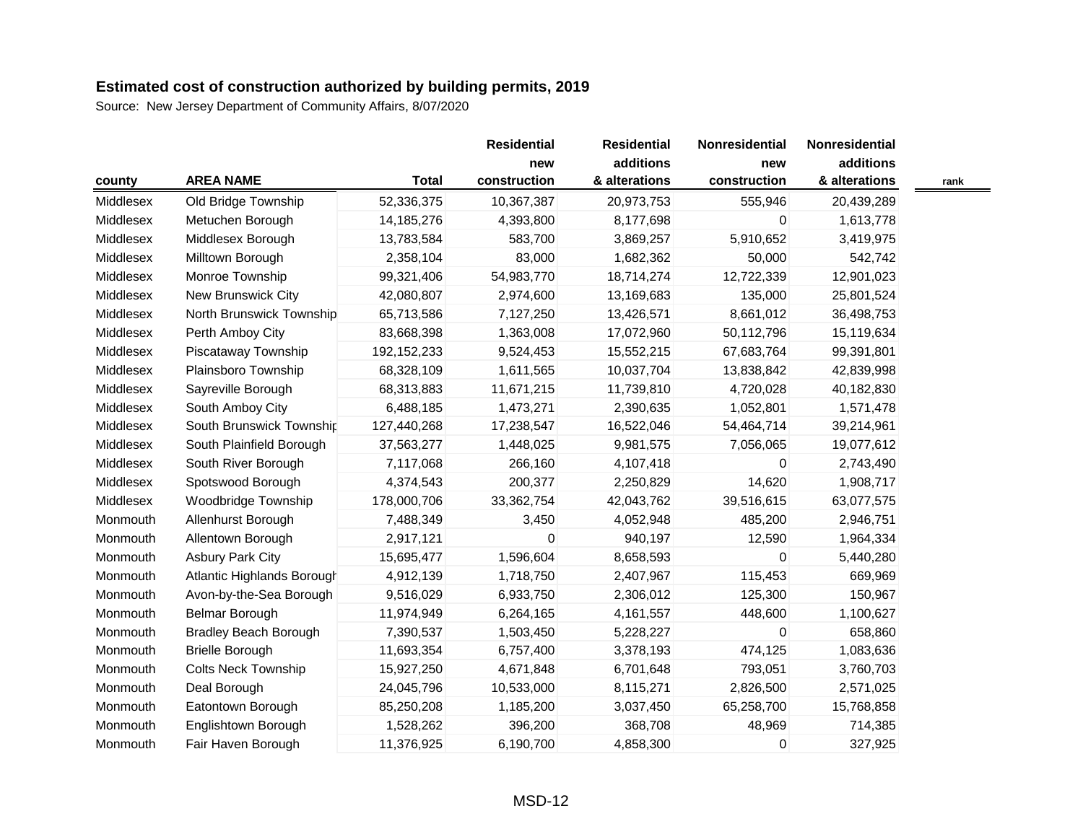|           |                              |               | <b>Residential</b> | <b>Residential</b> | Nonresidential | Nonresidential |      |
|-----------|------------------------------|---------------|--------------------|--------------------|----------------|----------------|------|
|           |                              |               | new                | additions          | new            | additions      |      |
| county    | <b>AREA NAME</b>             | <b>Total</b>  | construction       | & alterations      | construction   | & alterations  | rank |
| Middlesex | Old Bridge Township          | 52,336,375    | 10,367,387         | 20,973,753         | 555,946        | 20,439,289     |      |
| Middlesex | Metuchen Borough             | 14,185,276    | 4,393,800          | 8,177,698          | 0              | 1,613,778      |      |
| Middlesex | Middlesex Borough            | 13,783,584    | 583,700            | 3,869,257          | 5,910,652      | 3,419,975      |      |
| Middlesex | Milltown Borough             | 2,358,104     | 83,000             | 1,682,362          | 50,000         | 542,742        |      |
| Middlesex | Monroe Township              | 99,321,406    | 54,983,770         | 18,714,274         | 12,722,339     | 12,901,023     |      |
| Middlesex | New Brunswick City           | 42,080,807    | 2,974,600          | 13,169,683         | 135,000        | 25,801,524     |      |
| Middlesex | North Brunswick Township     | 65,713,586    | 7,127,250          | 13,426,571         | 8,661,012      | 36,498,753     |      |
| Middlesex | Perth Amboy City             | 83,668,398    | 1,363,008          | 17,072,960         | 50,112,796     | 15,119,634     |      |
| Middlesex | Piscataway Township          | 192, 152, 233 | 9,524,453          | 15,552,215         | 67,683,764     | 99,391,801     |      |
| Middlesex | Plainsboro Township          | 68,328,109    | 1,611,565          | 10,037,704         | 13,838,842     | 42,839,998     |      |
| Middlesex | Sayreville Borough           | 68,313,883    | 11,671,215         | 11,739,810         | 4,720,028      | 40,182,830     |      |
| Middlesex | South Amboy City             | 6,488,185     | 1,473,271          | 2,390,635          | 1,052,801      | 1,571,478      |      |
| Middlesex | South Brunswick Township     | 127,440,268   | 17,238,547         | 16,522,046         | 54,464,714     | 39,214,961     |      |
| Middlesex | South Plainfield Borough     | 37,563,277    | 1,448,025          | 9,981,575          | 7,056,065      | 19,077,612     |      |
| Middlesex | South River Borough          | 7,117,068     | 266,160            | 4,107,418          | 0              | 2,743,490      |      |
| Middlesex | Spotswood Borough            | 4,374,543     | 200,377            | 2,250,829          | 14,620         | 1,908,717      |      |
| Middlesex | Woodbridge Township          | 178,000,706   | 33,362,754         | 42,043,762         | 39,516,615     | 63,077,575     |      |
| Monmouth  | Allenhurst Borough           | 7,488,349     | 3,450              | 4,052,948          | 485,200        | 2,946,751      |      |
| Monmouth  | Allentown Borough            | 2,917,121     | 0                  | 940,197            | 12,590         | 1,964,334      |      |
| Monmouth  | <b>Asbury Park City</b>      | 15,695,477    | 1,596,604          | 8,658,593          | 0              | 5,440,280      |      |
| Monmouth  | Atlantic Highlands Borough   | 4,912,139     | 1,718,750          | 2,407,967          | 115,453        | 669,969        |      |
| Monmouth  | Avon-by-the-Sea Borough      | 9,516,029     | 6,933,750          | 2,306,012          | 125,300        | 150,967        |      |
| Monmouth  | Belmar Borough               | 11,974,949    | 6,264,165          | 4,161,557          | 448,600        | 1,100,627      |      |
| Monmouth  | <b>Bradley Beach Borough</b> | 7,390,537     | 1,503,450          | 5,228,227          | 0              | 658,860        |      |
| Monmouth  | <b>Brielle Borough</b>       | 11,693,354    | 6,757,400          | 3,378,193          | 474,125        | 1,083,636      |      |
| Monmouth  | <b>Colts Neck Township</b>   | 15,927,250    | 4,671,848          | 6,701,648          | 793,051        | 3,760,703      |      |
| Monmouth  | Deal Borough                 | 24,045,796    | 10,533,000         | 8,115,271          | 2,826,500      | 2,571,025      |      |
| Monmouth  | Eatontown Borough            | 85,250,208    | 1,185,200          | 3,037,450          | 65,258,700     | 15,768,858     |      |
| Monmouth  | Englishtown Borough          | 1,528,262     | 396,200            | 368,708            | 48,969         | 714,385        |      |
| Monmouth  | Fair Haven Borough           | 11,376,925    | 6,190,700          | 4,858,300          | 0              | 327,925        |      |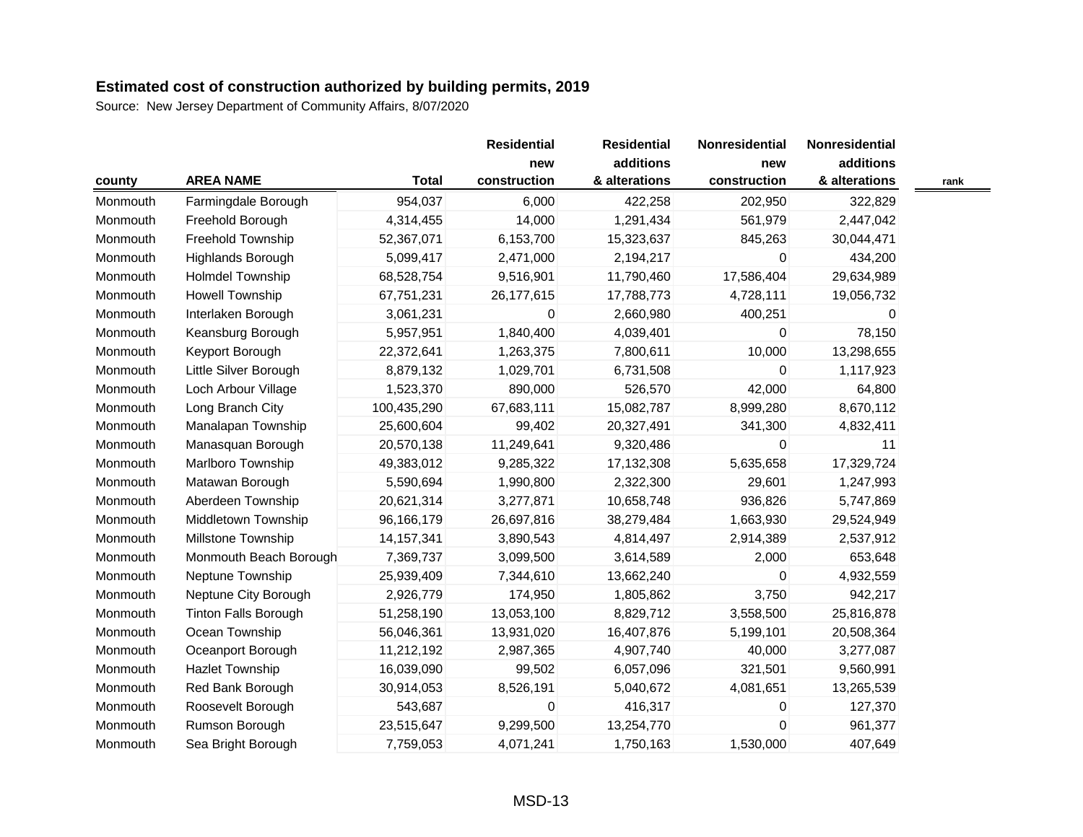| county   |                             |              | <b>Residential</b> | <b>Residential</b> | Nonresidential | Nonresidential |      |
|----------|-----------------------------|--------------|--------------------|--------------------|----------------|----------------|------|
|          |                             |              | new                | additions          | new            | additions      |      |
|          | <b>AREA NAME</b>            | <b>Total</b> | construction       | & alterations      | construction   | & alterations  | rank |
| Monmouth | Farmingdale Borough         | 954,037      | 6,000              | 422,258            | 202,950        | 322,829        |      |
| Monmouth | Freehold Borough            | 4,314,455    | 14,000             | 1,291,434          | 561,979        | 2,447,042      |      |
| Monmouth | Freehold Township           | 52,367,071   | 6,153,700          | 15,323,637         | 845,263        | 30,044,471     |      |
| Monmouth | Highlands Borough           | 5,099,417    | 2,471,000          | 2,194,217          | $\mathbf 0$    | 434,200        |      |
| Monmouth | <b>Holmdel Township</b>     | 68,528,754   | 9,516,901          | 11,790,460         | 17,586,404     | 29,634,989     |      |
| Monmouth | Howell Township             | 67,751,231   | 26,177,615         | 17,788,773         | 4,728,111      | 19,056,732     |      |
| Monmouth | Interlaken Borough          | 3,061,231    | 0                  | 2,660,980          | 400,251        | 0              |      |
| Monmouth | Keansburg Borough           | 5,957,951    | 1,840,400          | 4,039,401          | $\mathbf 0$    | 78,150         |      |
| Monmouth | Keyport Borough             | 22,372,641   | 1,263,375          | 7,800,611          | 10,000         | 13,298,655     |      |
| Monmouth | Little Silver Borough       | 8,879,132    | 1,029,701          | 6,731,508          | $\mathbf 0$    | 1,117,923      |      |
| Monmouth | Loch Arbour Village         | 1,523,370    | 890,000            | 526,570            | 42,000         | 64,800         |      |
| Monmouth | Long Branch City            | 100,435,290  | 67,683,111         | 15,082,787         | 8,999,280      | 8,670,112      |      |
| Monmouth | Manalapan Township          | 25,600,604   | 99,402             | 20,327,491         | 341,300        | 4,832,411      |      |
| Monmouth | Manasquan Borough           | 20,570,138   | 11,249,641         | 9,320,486          | $\mathbf 0$    | 11             |      |
| Monmouth | Marlboro Township           | 49,383,012   | 9,285,322          | 17,132,308         | 5,635,658      | 17,329,724     |      |
| Monmouth | Matawan Borough             | 5,590,694    | 1,990,800          | 2,322,300          | 29,601         | 1,247,993      |      |
| Monmouth | Aberdeen Township           | 20,621,314   | 3,277,871          | 10,658,748         | 936,826        | 5,747,869      |      |
| Monmouth | Middletown Township         | 96,166,179   | 26,697,816         | 38,279,484         | 1,663,930      | 29,524,949     |      |
| Monmouth | Millstone Township          | 14, 157, 341 | 3,890,543          | 4,814,497          | 2,914,389      | 2,537,912      |      |
| Monmouth | Monmouth Beach Borough      | 7,369,737    | 3,099,500          | 3,614,589          | 2,000          | 653,648        |      |
| Monmouth | Neptune Township            | 25,939,409   | 7,344,610          | 13,662,240         | $\mathbf 0$    | 4,932,559      |      |
| Monmouth | Neptune City Borough        | 2,926,779    | 174,950            | 1,805,862          | 3,750          | 942,217        |      |
| Monmouth | <b>Tinton Falls Borough</b> | 51,258,190   | 13,053,100         | 8,829,712          | 3,558,500      | 25,816,878     |      |
| Monmouth | Ocean Township              | 56,046,361   | 13,931,020         | 16,407,876         | 5,199,101      | 20,508,364     |      |
| Monmouth | Oceanport Borough           | 11,212,192   | 2,987,365          | 4,907,740          | 40,000         | 3,277,087      |      |
| Monmouth | <b>Hazlet Township</b>      | 16,039,090   | 99,502             | 6,057,096          | 321,501        | 9,560,991      |      |
| Monmouth | Red Bank Borough            | 30,914,053   | 8,526,191          | 5,040,672          | 4,081,651      | 13,265,539     |      |
| Monmouth | Roosevelt Borough           | 543,687      | 0                  | 416,317            | $\mathbf 0$    | 127,370        |      |
| Monmouth | Rumson Borough              | 23,515,647   | 9,299,500          | 13,254,770         | $\mathbf 0$    | 961,377        |      |
| Monmouth | Sea Bright Borough          | 7,759,053    | 4,071,241          | 1,750,163          | 1,530,000      | 407,649        |      |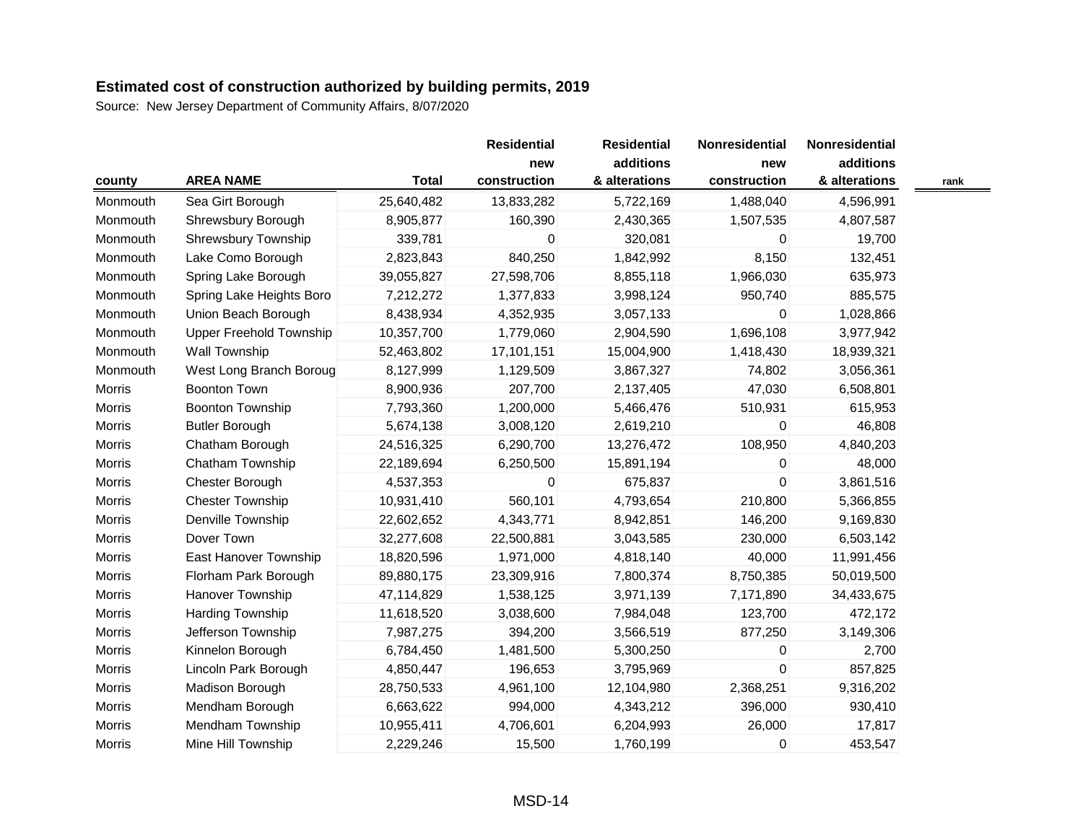|               |                                |              | <b>Residential</b> | <b>Residential</b> | Nonresidential   | Nonresidential |      |
|---------------|--------------------------------|--------------|--------------------|--------------------|------------------|----------------|------|
|               |                                |              | new                | additions          | new              | additions      |      |
| county        | <b>AREA NAME</b>               | <b>Total</b> | construction       | & alterations      | construction     | & alterations  | rank |
| Monmouth      | Sea Girt Borough               | 25,640,482   | 13,833,282         | 5,722,169          | 1,488,040        | 4,596,991      |      |
| Monmouth      | Shrewsbury Borough             | 8,905,877    | 160,390            | 2,430,365          | 1,507,535        | 4,807,587      |      |
| Monmouth      | Shrewsbury Township            | 339,781      | 0                  | 320,081            | 0                | 19,700         |      |
| Monmouth      | Lake Como Borough              | 2,823,843    | 840,250            | 1,842,992          | 8,150            | 132,451        |      |
| Monmouth      | Spring Lake Borough            | 39,055,827   | 27,598,706         | 8,855,118          | 1,966,030        | 635,973        |      |
| Monmouth      | Spring Lake Heights Boro       | 7,212,272    | 1,377,833          | 3,998,124          | 950,740          | 885,575        |      |
| Monmouth      | Union Beach Borough            | 8,438,934    | 4,352,935          | 3,057,133          | $\mathbf 0$      | 1,028,866      |      |
| Monmouth      | <b>Upper Freehold Township</b> | 10,357,700   | 1,779,060          | 2,904,590          | 1,696,108        | 3,977,942      |      |
| Monmouth      | Wall Township                  | 52,463,802   | 17,101,151         | 15,004,900         | 1,418,430        | 18,939,321     |      |
| Monmouth      | West Long Branch Boroug        | 8,127,999    | 1,129,509          | 3,867,327          | 74,802           | 3,056,361      |      |
| Morris        | <b>Boonton Town</b>            | 8,900,936    | 207,700            | 2,137,405          | 47,030           | 6,508,801      |      |
| Morris        | <b>Boonton Township</b>        | 7,793,360    | 1,200,000          | 5,466,476          | 510,931          | 615,953        |      |
| Morris        | <b>Butler Borough</b>          | 5,674,138    | 3,008,120          | 2,619,210          | $\mathbf 0$      | 46,808         |      |
| Morris        | Chatham Borough                | 24,516,325   | 6,290,700          | 13,276,472         | 108,950          | 4,840,203      |      |
| <b>Morris</b> | Chatham Township               | 22,189,694   | 6,250,500          | 15,891,194         | 0                | 48,000         |      |
| Morris        | Chester Borough                | 4,537,353    | 0                  | 675,837            | $\boldsymbol{0}$ | 3,861,516      |      |
| <b>Morris</b> | <b>Chester Township</b>        | 10,931,410   | 560,101            | 4,793,654          | 210,800          | 5,366,855      |      |
| Morris        | Denville Township              | 22,602,652   | 4,343,771          | 8,942,851          | 146,200          | 9,169,830      |      |
| <b>Morris</b> | Dover Town                     | 32,277,608   | 22,500,881         | 3,043,585          | 230,000          | 6,503,142      |      |
| <b>Morris</b> | East Hanover Township          | 18,820,596   | 1,971,000          | 4,818,140          | 40,000           | 11,991,456     |      |
| <b>Morris</b> | Florham Park Borough           | 89,880,175   | 23,309,916         | 7,800,374          | 8,750,385        | 50,019,500     |      |
| Morris        | Hanover Township               | 47,114,829   | 1,538,125          | 3,971,139          | 7,171,890        | 34,433,675     |      |
| <b>Morris</b> | <b>Harding Township</b>        | 11,618,520   | 3,038,600          | 7,984,048          | 123,700          | 472,172        |      |
| Morris        | Jefferson Township             | 7,987,275    | 394,200            | 3,566,519          | 877,250          | 3,149,306      |      |
| Morris        | Kinnelon Borough               | 6,784,450    | 1,481,500          | 5,300,250          | 0                | 2,700          |      |
| Morris        | Lincoln Park Borough           | 4,850,447    | 196,653            | 3,795,969          | $\mathbf 0$      | 857,825        |      |
| Morris        | Madison Borough                | 28,750,533   | 4,961,100          | 12,104,980         | 2,368,251        | 9,316,202      |      |
| Morris        | Mendham Borough                | 6,663,622    | 994,000            | 4,343,212          | 396,000          | 930,410        |      |
| Morris        | Mendham Township               | 10,955,411   | 4,706,601          | 6,204,993          | 26,000           | 17,817         |      |
| Morris        | Mine Hill Township             | 2,229,246    | 15,500             | 1,760,199          | $\boldsymbol{0}$ | 453,547        |      |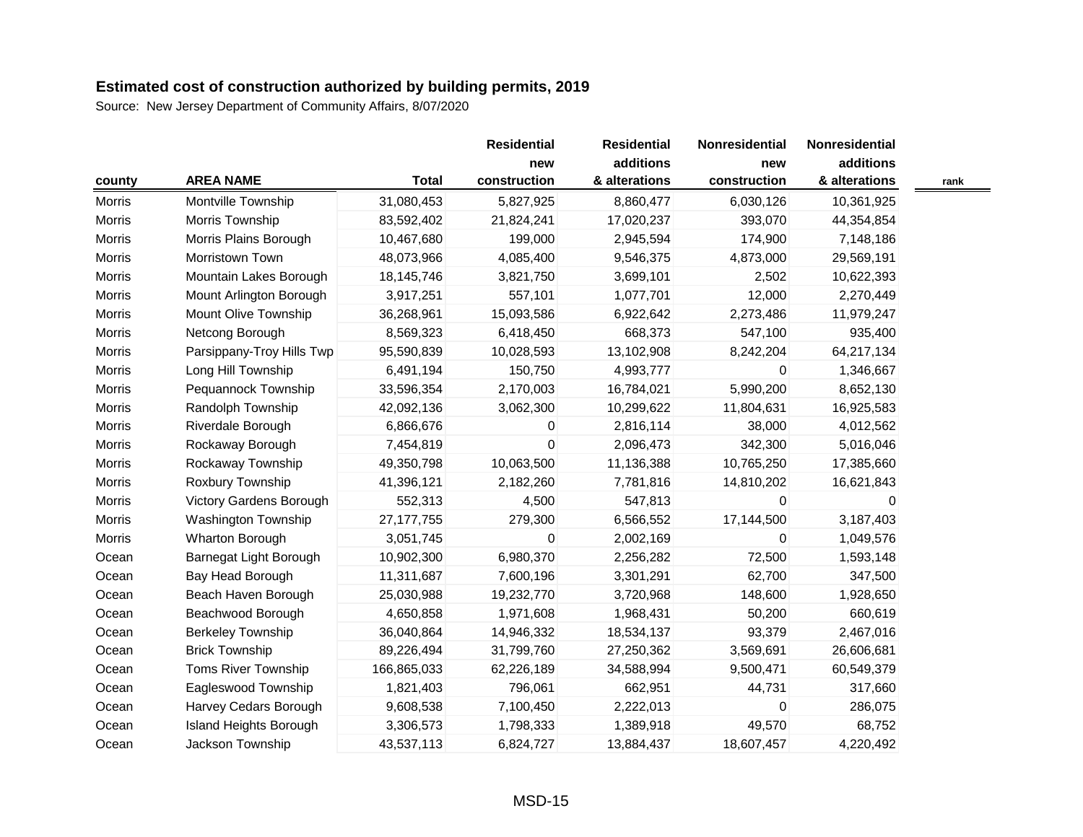Source: New Jersey Department of Community Affairs, 8/07/2020

| county        |                               |              | <b>Residential</b>  | <b>Residential</b>         | Nonresidential      | Nonresidential             |      |
|---------------|-------------------------------|--------------|---------------------|----------------------------|---------------------|----------------------------|------|
|               | <b>AREA NAME</b>              | <b>Total</b> | new<br>construction | additions<br>& alterations | new<br>construction | additions<br>& alterations | rank |
| Morris        | Montville Township            | 31,080,453   | 5,827,925           | 8,860,477                  | 6,030,126           | 10,361,925                 |      |
| <b>Morris</b> | Morris Township               | 83,592,402   | 21,824,241          | 17,020,237                 | 393,070             | 44,354,854                 |      |
| Morris        | Morris Plains Borough         | 10,467,680   | 199,000             | 2,945,594                  | 174,900             | 7,148,186                  |      |
| Morris        | Morristown Town               | 48,073,966   | 4,085,400           | 9,546,375                  | 4,873,000           | 29,569,191                 |      |
| <b>Morris</b> | Mountain Lakes Borough        | 18,145,746   | 3,821,750           | 3,699,101                  | 2,502               | 10,622,393                 |      |
| Morris        | Mount Arlington Borough       | 3,917,251    | 557,101             | 1,077,701                  | 12,000              | 2,270,449                  |      |
| Morris        | Mount Olive Township          | 36,268,961   | 15,093,586          | 6,922,642                  | 2,273,486           | 11,979,247                 |      |
| <b>Morris</b> | Netcong Borough               | 8,569,323    | 6,418,450           | 668,373                    | 547,100             | 935,400                    |      |
| Morris        | Parsippany-Troy Hills Twp     | 95,590,839   | 10,028,593          | 13,102,908                 | 8,242,204           | 64,217,134                 |      |
| Morris        | Long Hill Township            | 6,491,194    | 150,750             | 4,993,777                  | 0                   | 1,346,667                  |      |
| Morris        | Pequannock Township           | 33,596,354   | 2,170,003           | 16,784,021                 | 5,990,200           | 8,652,130                  |      |
| Morris        | Randolph Township             | 42,092,136   | 3,062,300           | 10,299,622                 | 11,804,631          | 16,925,583                 |      |
| <b>Morris</b> | Riverdale Borough             | 6,866,676    | 0                   | 2,816,114                  | 38,000              | 4,012,562                  |      |
| Morris        | Rockaway Borough              | 7,454,819    | 0                   | 2,096,473                  | 342,300             | 5,016,046                  |      |
| <b>Morris</b> | Rockaway Township             | 49,350,798   | 10,063,500          | 11,136,388                 | 10,765,250          | 17,385,660                 |      |
| <b>Morris</b> | Roxbury Township              | 41,396,121   | 2,182,260           | 7,781,816                  | 14,810,202          | 16,621,843                 |      |
| <b>Morris</b> | Victory Gardens Borough       | 552,313      | 4,500               | 547,813                    | 0                   | 0                          |      |
| Morris        | Washington Township           | 27, 177, 755 | 279,300             | 6,566,552                  | 17,144,500          | 3,187,403                  |      |
| <b>Morris</b> | Wharton Borough               | 3,051,745    | 0                   | 2,002,169                  | 0                   | 1,049,576                  |      |
| Ocean         | Barnegat Light Borough        | 10,902,300   | 6,980,370           | 2,256,282                  | 72,500              | 1,593,148                  |      |
| Ocean         | Bay Head Borough              | 11,311,687   | 7,600,196           | 3,301,291                  | 62,700              | 347,500                    |      |
| Ocean         | Beach Haven Borough           | 25,030,988   | 19,232,770          | 3,720,968                  | 148,600             | 1,928,650                  |      |
| Ocean         | Beachwood Borough             | 4,650,858    | 1,971,608           | 1,968,431                  | 50,200              | 660,619                    |      |
| Ocean         | <b>Berkeley Township</b>      | 36,040,864   | 14,946,332          | 18,534,137                 | 93,379              | 2,467,016                  |      |
| Ocean         | <b>Brick Township</b>         | 89,226,494   | 31,799,760          | 27,250,362                 | 3,569,691           | 26,606,681                 |      |
| Ocean         | Toms River Township           | 166,865,033  | 62,226,189          | 34,588,994                 | 9,500,471           | 60,549,379                 |      |
| Ocean         | Eagleswood Township           | 1,821,403    | 796,061             | 662,951                    | 44,731              | 317,660                    |      |
| Ocean         | Harvey Cedars Borough         | 9,608,538    | 7,100,450           | 2,222,013                  | 0                   | 286,075                    |      |
| Ocean         | <b>Island Heights Borough</b> | 3,306,573    | 1,798,333           | 1,389,918                  | 49,570              | 68,752                     |      |
| Ocean         | Jackson Township              | 43,537,113   | 6,824,727           | 13,884,437                 | 18,607,457          | 4,220,492                  |      |

—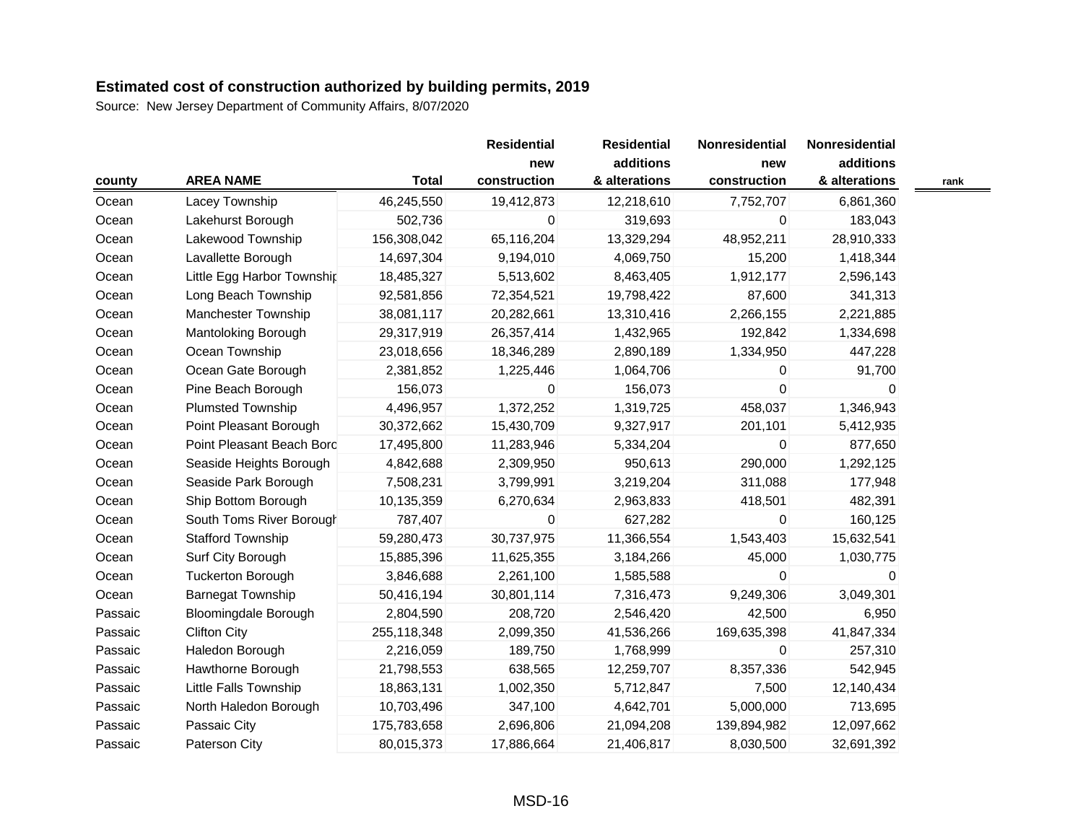| county  |                             |              | <b>Residential</b>  | <b>Residential</b>         | Nonresidential      | <b>Nonresidential</b>      |      |
|---------|-----------------------------|--------------|---------------------|----------------------------|---------------------|----------------------------|------|
|         | <b>AREA NAME</b>            | <b>Total</b> | new<br>construction | additions<br>& alterations | new<br>construction | additions<br>& alterations | rank |
| Ocean   | Lacey Township              | 46,245,550   | 19,412,873          | 12,218,610                 | 7,752,707           | 6,861,360                  |      |
| Ocean   | Lakehurst Borough           | 502,736      | 0                   | 319,693                    | 0                   | 183,043                    |      |
| Ocean   | Lakewood Township           | 156,308,042  | 65,116,204          | 13,329,294                 | 48,952,211          | 28,910,333                 |      |
| Ocean   | Lavallette Borough          | 14,697,304   | 9,194,010           | 4,069,750                  | 15,200              | 1,418,344                  |      |
|         |                             | 18,485,327   | 5,513,602           |                            | 1,912,177           | 2,596,143                  |      |
| Ocean   | Little Egg Harbor Township  | 92,581,856   |                     | 8,463,405<br>19,798,422    | 87,600              |                            |      |
| Ocean   | Long Beach Township         |              | 72,354,521          |                            |                     | 341,313                    |      |
| Ocean   | Manchester Township         | 38,081,117   | 20,282,661          | 13,310,416                 | 2,266,155           | 2,221,885                  |      |
| Ocean   | Mantoloking Borough         | 29,317,919   | 26,357,414          | 1,432,965                  | 192,842             | 1,334,698                  |      |
| Ocean   | Ocean Township              | 23,018,656   | 18,346,289          | 2,890,189                  | 1,334,950           | 447,228                    |      |
| Ocean   | Ocean Gate Borough          | 2,381,852    | 1,225,446           | 1,064,706                  | 0                   | 91,700                     |      |
| Ocean   | Pine Beach Borough          | 156,073      | 0                   | 156,073                    | 0                   | 0                          |      |
| Ocean   | <b>Plumsted Township</b>    | 4,496,957    | 1,372,252           | 1,319,725                  | 458,037             | 1,346,943                  |      |
| Ocean   | Point Pleasant Borough      | 30,372,662   | 15,430,709          | 9,327,917                  | 201,101             | 5,412,935                  |      |
| Ocean   | Point Pleasant Beach Bord   | 17,495,800   | 11,283,946          | 5,334,204                  | 0                   | 877,650                    |      |
| Ocean   | Seaside Heights Borough     | 4,842,688    | 2,309,950           | 950,613                    | 290,000             | 1,292,125                  |      |
| Ocean   | Seaside Park Borough        | 7,508,231    | 3,799,991           | 3,219,204                  | 311,088             | 177,948                    |      |
| Ocean   | Ship Bottom Borough         | 10,135,359   | 6,270,634           | 2,963,833                  | 418,501             | 482,391                    |      |
| Ocean   | South Toms River Borough    | 787,407      | 0                   | 627,282                    | 0                   | 160,125                    |      |
| Ocean   | <b>Stafford Township</b>    | 59,280,473   | 30,737,975          | 11,366,554                 | 1,543,403           | 15,632,541                 |      |
| Ocean   | Surf City Borough           | 15,885,396   | 11,625,355          | 3,184,266                  | 45,000              | 1,030,775                  |      |
| Ocean   | <b>Tuckerton Borough</b>    | 3,846,688    | 2,261,100           | 1,585,588                  | 0                   | 0                          |      |
| Ocean   | <b>Barnegat Township</b>    | 50,416,194   | 30,801,114          | 7,316,473                  | 9,249,306           | 3,049,301                  |      |
| Passaic | <b>Bloomingdale Borough</b> | 2,804,590    | 208,720             | 2,546,420                  | 42,500              | 6,950                      |      |
| Passaic | <b>Clifton City</b>         | 255,118,348  | 2,099,350           | 41,536,266                 | 169,635,398         | 41,847,334                 |      |
| Passaic | Haledon Borough             | 2,216,059    | 189,750             | 1,768,999                  | 0                   | 257,310                    |      |
| Passaic | Hawthorne Borough           | 21,798,553   | 638,565             | 12,259,707                 | 8,357,336           | 542,945                    |      |
| Passaic | Little Falls Township       | 18,863,131   | 1,002,350           | 5,712,847                  | 7,500               | 12,140,434                 |      |
| Passaic | North Haledon Borough       | 10,703,496   | 347,100             | 4,642,701                  | 5,000,000           | 713,695                    |      |
| Passaic | Passaic City                | 175,783,658  | 2,696,806           | 21,094,208                 | 139,894,982         | 12,097,662                 |      |
| Passaic | Paterson City               | 80,015,373   | 17,886,664          | 21,406,817                 | 8,030,500           | 32,691,392                 |      |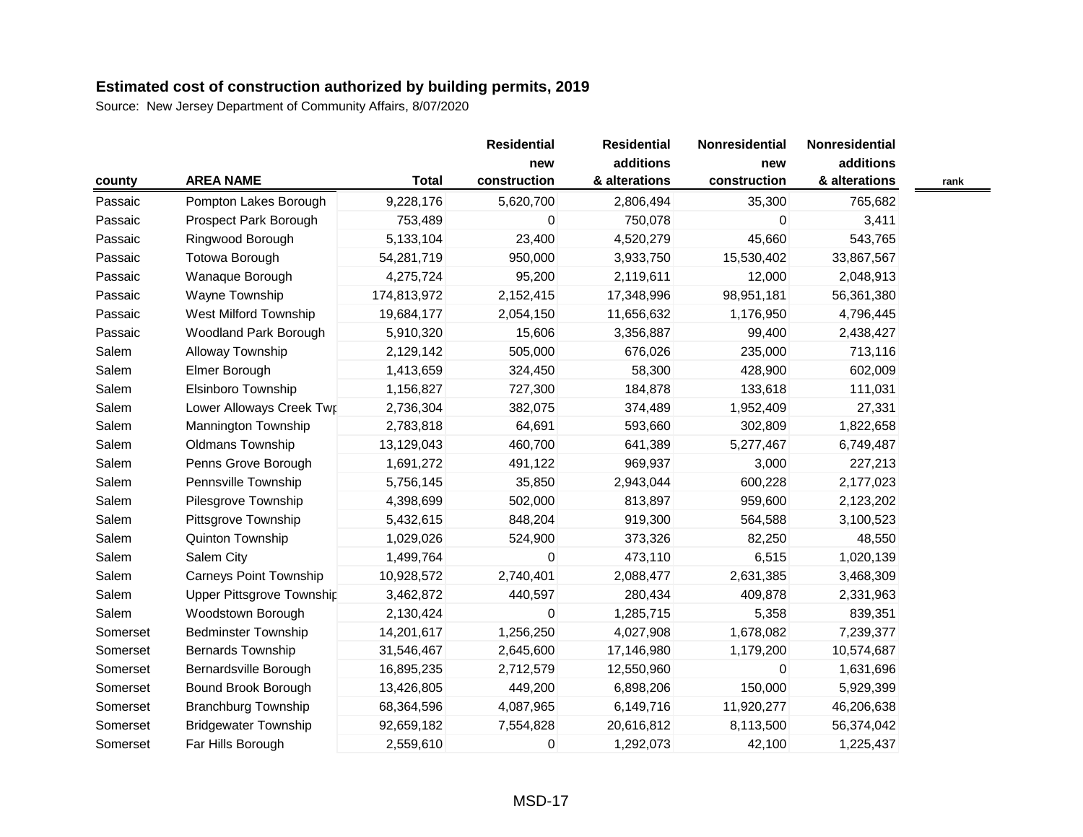Source: New Jersey Department of Community Affairs, 8/07/2020

| county   |                               |              | <b>Residential</b><br>new | <b>Residential</b><br>additions | Nonresidential | Nonresidential<br>additions |      |
|----------|-------------------------------|--------------|---------------------------|---------------------------------|----------------|-----------------------------|------|
|          |                               |              |                           |                                 | new            |                             |      |
|          | <b>AREA NAME</b>              | <b>Total</b> | construction              | & alterations                   | construction   | & alterations               | rank |
| Passaic  | Pompton Lakes Borough         | 9,228,176    | 5,620,700                 | 2,806,494                       | 35,300         | 765,682                     |      |
| Passaic  | Prospect Park Borough         | 753,489      | 0                         | 750,078                         | $\mathbf 0$    | 3,411                       |      |
| Passaic  | Ringwood Borough              | 5,133,104    | 23,400                    | 4,520,279                       | 45,660         | 543,765                     |      |
| Passaic  | <b>Totowa Borough</b>         | 54,281,719   | 950,000                   | 3,933,750                       | 15,530,402     | 33,867,567                  |      |
| Passaic  | Wanaque Borough               | 4,275,724    | 95,200                    | 2,119,611                       | 12,000         | 2,048,913                   |      |
| Passaic  | Wayne Township                | 174,813,972  | 2,152,415                 | 17,348,996                      | 98,951,181     | 56,361,380                  |      |
| Passaic  | West Milford Township         | 19,684,177   | 2,054,150                 | 11,656,632                      | 1,176,950      | 4,796,445                   |      |
| Passaic  | Woodland Park Borough         | 5,910,320    | 15,606                    | 3,356,887                       | 99,400         | 2,438,427                   |      |
| Salem    | Alloway Township              | 2,129,142    | 505,000                   | 676,026                         | 235,000        | 713,116                     |      |
| Salem    | Elmer Borough                 | 1,413,659    | 324,450                   | 58,300                          | 428,900        | 602,009                     |      |
| Salem    | Elsinboro Township            | 1,156,827    | 727,300                   | 184,878                         | 133,618        | 111,031                     |      |
| Salem    | Lower Alloways Creek Twr      | 2,736,304    | 382,075                   | 374,489                         | 1,952,409      | 27,331                      |      |
| Salem    | Mannington Township           | 2,783,818    | 64,691                    | 593,660                         | 302,809        | 1,822,658                   |      |
| Salem    | <b>Oldmans Township</b>       | 13,129,043   | 460,700                   | 641,389                         | 5,277,467      | 6,749,487                   |      |
| Salem    | Penns Grove Borough           | 1,691,272    | 491,122                   | 969,937                         | 3,000          | 227,213                     |      |
| Salem    | Pennsville Township           | 5,756,145    | 35,850                    | 2,943,044                       | 600,228        | 2,177,023                   |      |
| Salem    | Pilesgrove Township           | 4,398,699    | 502,000                   | 813,897                         | 959,600        | 2,123,202                   |      |
| Salem    | Pittsgrove Township           | 5,432,615    | 848,204                   | 919,300                         | 564,588        | 3,100,523                   |      |
| Salem    | Quinton Township              | 1,029,026    | 524,900                   | 373,326                         | 82,250         | 48,550                      |      |
| Salem    | Salem City                    | 1,499,764    | 0                         | 473,110                         | 6,515          | 1,020,139                   |      |
| Salem    | <b>Carneys Point Township</b> | 10,928,572   | 2,740,401                 | 2,088,477                       | 2,631,385      | 3,468,309                   |      |
| Salem    | Upper Pittsgrove Township     | 3,462,872    | 440,597                   | 280,434                         | 409,878        | 2,331,963                   |      |
| Salem    | Woodstown Borough             | 2,130,424    | $\pmb{0}$                 | 1,285,715                       | 5,358          | 839,351                     |      |
| Somerset | <b>Bedminster Township</b>    | 14,201,617   | 1,256,250                 | 4,027,908                       | 1,678,082      | 7,239,377                   |      |
| Somerset | <b>Bernards Township</b>      | 31,546,467   | 2,645,600                 | 17,146,980                      | 1,179,200      | 10,574,687                  |      |
| Somerset | Bernardsville Borough         | 16,895,235   | 2,712,579                 | 12,550,960                      | $\mathbf{0}$   | 1,631,696                   |      |
| Somerset | Bound Brook Borough           | 13,426,805   | 449,200                   | 6,898,206                       | 150,000        | 5,929,399                   |      |
| Somerset | <b>Branchburg Township</b>    | 68,364,596   | 4,087,965                 | 6,149,716                       | 11,920,277     | 46,206,638                  |      |
| Somerset | <b>Bridgewater Township</b>   | 92,659,182   | 7,554,828                 | 20,616,812                      | 8,113,500      | 56,374,042                  |      |
| Somerset | Far Hills Borough             | 2,559,610    | $\mathbf 0$               | 1,292,073                       | 42,100         | 1,225,437                   |      |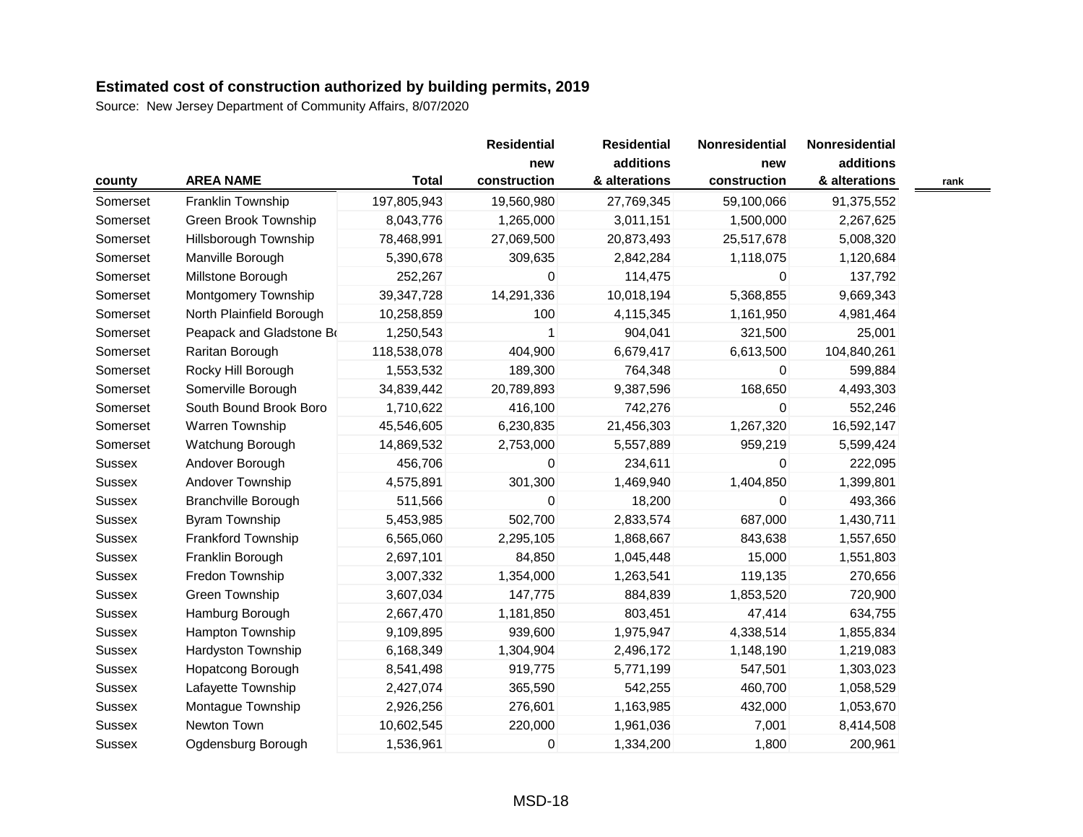|               |                            |              | <b>Residential</b><br>new | <b>Residential</b> | Nonresidential | Nonresidential |  |
|---------------|----------------------------|--------------|---------------------------|--------------------|----------------|----------------|--|
|               |                            |              |                           | additions          | new            | additions      |  |
| county        | <b>AREA NAME</b>           | <b>Total</b> | construction              | & alterations      | construction   | & alterations  |  |
| Somerset      | Franklin Township          | 197,805,943  | 19,560,980                | 27,769,345         | 59,100,066     | 91,375,552     |  |
| Somerset      | Green Brook Township       | 8,043,776    | 1,265,000                 | 3,011,151          | 1,500,000      | 2,267,625      |  |
| Somerset      | Hillsborough Township      | 78,468,991   | 27,069,500                | 20,873,493         | 25,517,678     | 5,008,320      |  |
| Somerset      | Manville Borough           | 5,390,678    | 309,635                   | 2,842,284          | 1,118,075      | 1,120,684      |  |
| Somerset      | Millstone Borough          | 252,267      | 0                         | 114,475            | $\mathbf 0$    | 137,792        |  |
| Somerset      | Montgomery Township        | 39, 347, 728 | 14,291,336                | 10,018,194         | 5,368,855      | 9,669,343      |  |
| Somerset      | North Plainfield Borough   | 10,258,859   | 100                       | 4,115,345          | 1,161,950      | 4,981,464      |  |
| Somerset      | Peapack and Gladstone Bo   | 1,250,543    |                           | 904,041            | 321,500        | 25,001         |  |
| Somerset      | Raritan Borough            | 118,538,078  | 404,900                   | 6,679,417          | 6,613,500      | 104,840,261    |  |
| Somerset      | Rocky Hill Borough         | 1,553,532    | 189,300                   | 764,348            | 0              | 599,884        |  |
| Somerset      | Somerville Borough         | 34,839,442   | 20,789,893                | 9,387,596          | 168,650        | 4,493,303      |  |
| Somerset      | South Bound Brook Boro     | 1,710,622    | 416,100                   | 742,276            | 0              | 552,246        |  |
| Somerset      | Warren Township            | 45,546,605   | 6,230,835                 | 21,456,303         | 1,267,320      | 16,592,147     |  |
| Somerset      | Watchung Borough           | 14,869,532   | 2,753,000                 | 5,557,889          | 959,219        | 5,599,424      |  |
| Sussex        | Andover Borough            | 456,706      | 0                         | 234,611            | 0              | 222,095        |  |
| Sussex        | Andover Township           | 4,575,891    | 301,300                   | 1,469,940          | 1,404,850      | 1,399,801      |  |
| Sussex        | <b>Branchville Borough</b> | 511,566      | 0                         | 18,200             | 0              | 493,366        |  |
| Sussex        | Byram Township             | 5,453,985    | 502,700                   | 2,833,574          | 687,000        | 1,430,711      |  |
| Sussex        | Frankford Township         | 6,565,060    | 2,295,105                 | 1,868,667          | 843,638        | 1,557,650      |  |
| Sussex        | Franklin Borough           | 2,697,101    | 84,850                    | 1,045,448          | 15,000         | 1,551,803      |  |
| Sussex        | Fredon Township            | 3,007,332    | 1,354,000                 | 1,263,541          | 119,135        | 270,656        |  |
| <b>Sussex</b> | Green Township             | 3,607,034    | 147,775                   | 884,839            | 1,853,520      | 720,900        |  |
| Sussex        | Hamburg Borough            | 2,667,470    | 1,181,850                 | 803,451            | 47,414         | 634,755        |  |
| Sussex        | Hampton Township           | 9,109,895    | 939,600                   | 1,975,947          | 4,338,514      | 1,855,834      |  |
| Sussex        | Hardyston Township         | 6,168,349    | 1,304,904                 | 2,496,172          | 1,148,190      | 1,219,083      |  |
| <b>Sussex</b> | Hopatcong Borough          | 8,541,498    | 919,775                   | 5,771,199          | 547,501        | 1,303,023      |  |
| Sussex        | Lafayette Township         | 2,427,074    | 365,590                   | 542,255            | 460,700        | 1,058,529      |  |
| <b>Sussex</b> | Montague Township          | 2,926,256    | 276,601                   | 1,163,985          | 432,000        | 1,053,670      |  |
| Sussex        | Newton Town                | 10,602,545   | 220,000                   | 1,961,036          | 7,001          | 8,414,508      |  |
| <b>Sussex</b> | Ogdensburg Borough         | 1,536,961    | $\pmb{0}$                 | 1,334,200          | 1,800          | 200,961        |  |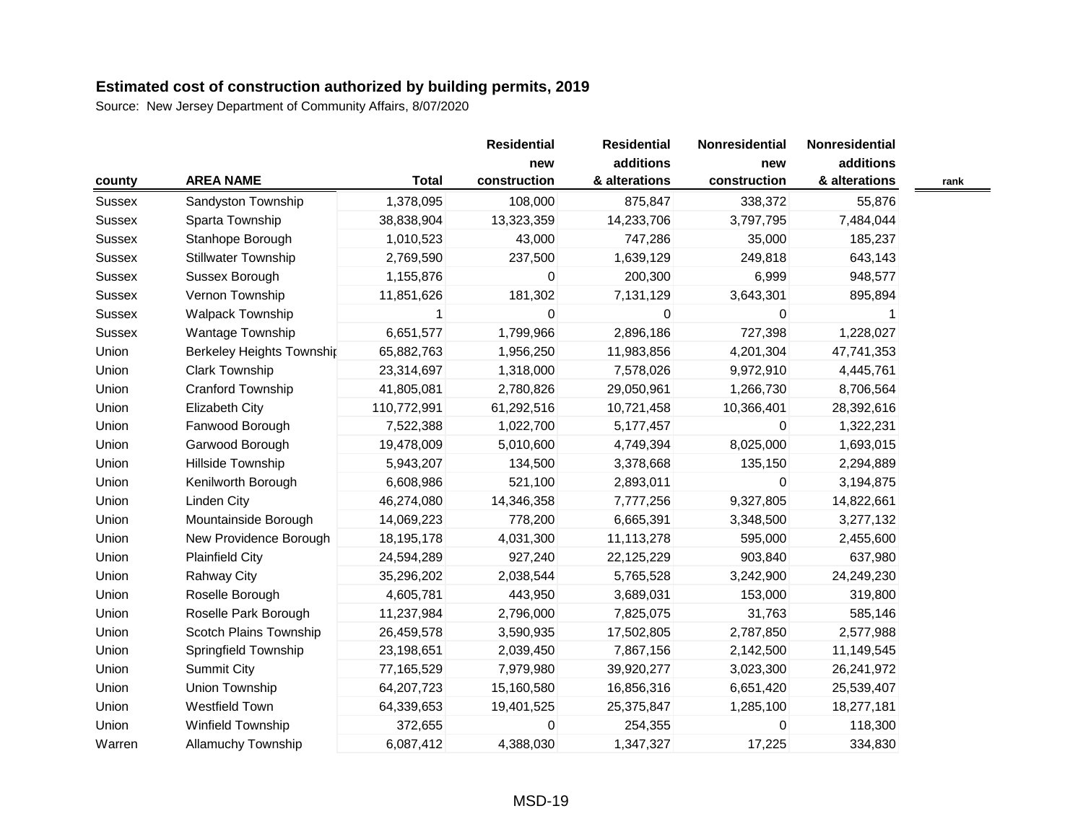| county        |                                  |              | <b>Residential</b> | <b>Residential</b> | Nonresidential | Nonresidential |      |
|---------------|----------------------------------|--------------|--------------------|--------------------|----------------|----------------|------|
|               |                                  |              | new                | additions          | new            | additions      |      |
|               | <b>AREA NAME</b>                 | <b>Total</b> | construction       | & alterations      | construction   | & alterations  | rank |
| <b>Sussex</b> | Sandyston Township               | 1,378,095    | 108,000            | 875,847            | 338,372        | 55,876         |      |
| Sussex        | Sparta Township                  | 38,838,904   | 13,323,359         | 14,233,706         | 3,797,795      | 7,484,044      |      |
| Sussex        | Stanhope Borough                 | 1,010,523    | 43,000             | 747,286            | 35,000         | 185,237        |      |
| Sussex        | <b>Stillwater Township</b>       | 2,769,590    | 237,500            | 1,639,129          | 249,818        | 643,143        |      |
| Sussex        | Sussex Borough                   | 1,155,876    | 0                  | 200,300            | 6,999          | 948,577        |      |
| Sussex        | Vernon Township                  | 11,851,626   | 181,302            | 7,131,129          | 3,643,301      | 895,894        |      |
| <b>Sussex</b> | <b>Walpack Township</b>          |              | 0                  | 0                  | 0              |                |      |
| <b>Sussex</b> | Wantage Township                 | 6,651,577    | 1,799,966          | 2,896,186          | 727,398        | 1,228,027      |      |
| Union         | <b>Berkeley Heights Township</b> | 65,882,763   | 1,956,250          | 11,983,856         | 4,201,304      | 47,741,353     |      |
| Union         | <b>Clark Township</b>            | 23,314,697   | 1,318,000          | 7,578,026          | 9,972,910      | 4,445,761      |      |
| Union         | Cranford Township                | 41,805,081   | 2,780,826          | 29,050,961         | 1,266,730      | 8,706,564      |      |
| Union         | <b>Elizabeth City</b>            | 110,772,991  | 61,292,516         | 10,721,458         | 10,366,401     | 28,392,616     |      |
| Union         | Fanwood Borough                  | 7,522,388    | 1,022,700          | 5,177,457          | $\mathbf{0}$   | 1,322,231      |      |
| Union         | Garwood Borough                  | 19,478,009   | 5,010,600          | 4,749,394          | 8,025,000      | 1,693,015      |      |
| Union         | Hillside Township                | 5,943,207    | 134,500            | 3,378,668          | 135,150        | 2,294,889      |      |
| Union         | Kenilworth Borough               | 6,608,986    | 521,100            | 2,893,011          | 0              | 3,194,875      |      |
| Union         | <b>Linden City</b>               | 46,274,080   | 14,346,358         | 7,777,256          | 9,327,805      | 14,822,661     |      |
| Union         | Mountainside Borough             | 14,069,223   | 778,200            | 6,665,391          | 3,348,500      | 3,277,132      |      |
| Union         | New Providence Borough           | 18,195,178   | 4,031,300          | 11,113,278         | 595,000        | 2,455,600      |      |
| Union         | <b>Plainfield City</b>           | 24,594,289   | 927,240            | 22,125,229         | 903,840        | 637,980        |      |
| Union         | <b>Rahway City</b>               | 35,296,202   | 2,038,544          | 5,765,528          | 3,242,900      | 24,249,230     |      |
| Union         | Roselle Borough                  | 4,605,781    | 443,950            | 3,689,031          | 153,000        | 319,800        |      |
| Union         | Roselle Park Borough             | 11,237,984   | 2,796,000          | 7,825,075          | 31,763         | 585,146        |      |
| Union         | Scotch Plains Township           | 26,459,578   | 3,590,935          | 17,502,805         | 2,787,850      | 2,577,988      |      |
| Union         | Springfield Township             | 23,198,651   | 2,039,450          | 7,867,156          | 2,142,500      | 11,149,545     |      |
| Union         | <b>Summit City</b>               | 77,165,529   | 7,979,980          | 39,920,277         | 3,023,300      | 26,241,972     |      |
| Union         | Union Township                   | 64,207,723   | 15,160,580         | 16,856,316         | 6,651,420      | 25,539,407     |      |
| Union         | Westfield Town                   | 64,339,653   | 19,401,525         | 25,375,847         | 1,285,100      | 18,277,181     |      |
| Union         | Winfield Township                | 372,655      | 0                  | 254,355            | 0              | 118,300        |      |
| Warren        | <b>Allamuchy Township</b>        | 6,087,412    | 4,388,030          | 1,347,327          | 17,225         | 334,830        |      |